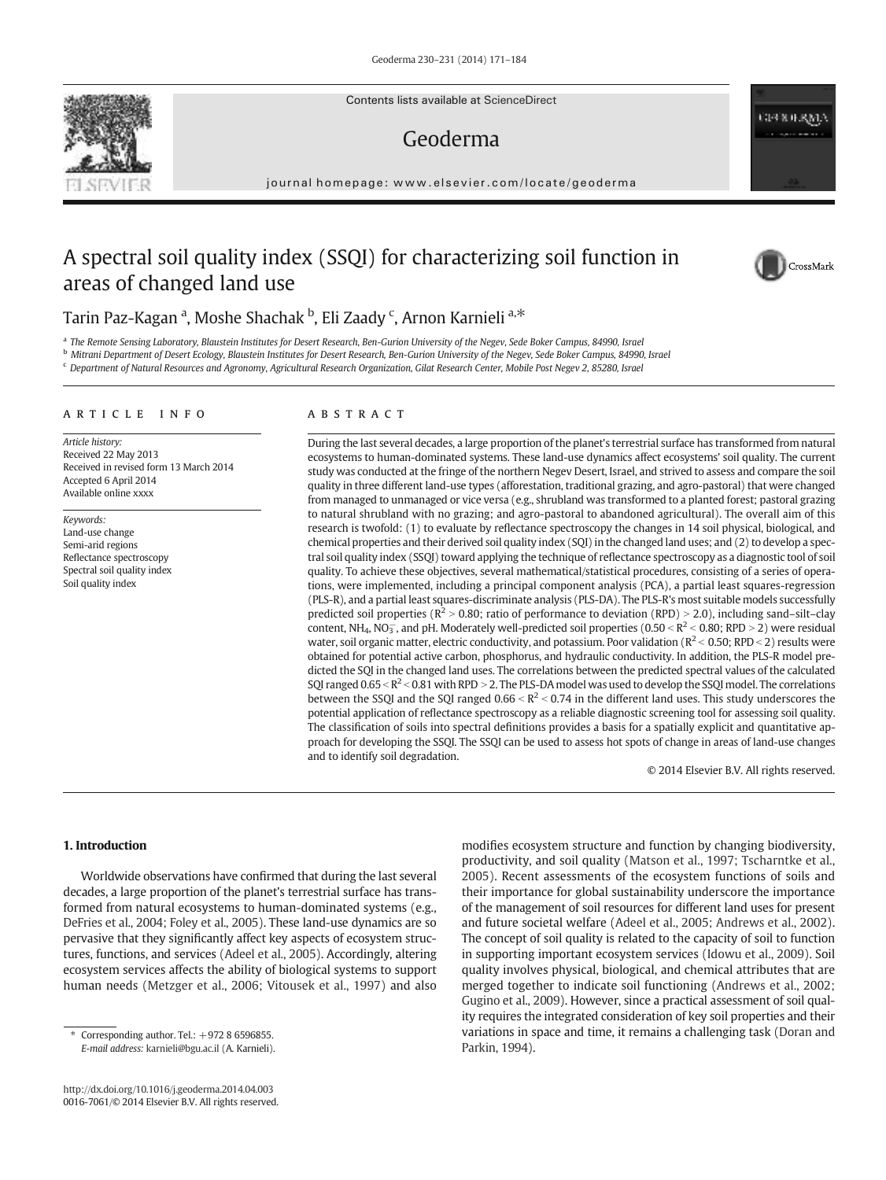Contents lists available at ScienceDirect

# Geoderma

journal homepage: www.elsevier.com/locate/geoderma

# A spectral soil quality index (SSQI) for characterizing soil function in areas of changed land use



СИМВЕМА

# Tarin Paz-Kagan <sup>a</sup>, Moshe Shachak <sup>b</sup>, Eli Zaady <sup>c</sup>, Arnon Karnieli <sup>a,\*</sup>

a *The Remote Sensing Laboratory, Blaustein Institutes for Desert Research, Ben-Gurion University of the Negev, Sede Boker Campus, 84990, Israel* <sup>b</sup> *Mitrani Department of Desert Ecology, Blaustein Institutes for Desert Research, Ben-Gurion University of the Negev, Sede Boker Campus, 84990, Israel*

<sup>c</sup> *Department of Natural Resources and Agronomy, Agricultural Research Organization, Gilat Research Center, Mobile Post Negev 2, 85280, Israel*

### article info abstract

*Article history:* Received 22 May 2013 Received in revised form 13 March 2014 Accepted 6 April 2014 Available online xxxx

*Keywords:* Land-use change Semi-arid regions Reflectance spectroscopy Spectral soil quality index Soil quality index

During the last several decades, a large proportion of the planet's terrestrial surface has transformed from natural ecosystems to human-dominated systems. These land-use dynamics affect ecosystems' soil quality. The current study was conducted at the fringe of the northern Negev Desert, Israel, and strived to assess and compare the soil quality in three different land-use types (afforestation, traditional grazing, and agro-pastoral) that were changed from managed to unmanaged or vice versa (e.g., shrubland was transformed to a planted forest; pastoral grazing to natural shrubland with no grazing; and agro-pastoral to abandoned agricultural). The overall aim of this research is twofold: (1) to evaluate by reflectance spectroscopy the changes in 14 soil physical, biological, and chemical properties and their derived soil quality index (SQI) in the changed land uses; and (2) to develop a spectral soil quality index (SSQI) toward applying the technique of reflectance spectroscopy as a diagnostic tool of soil quality. To achieve these objectives, several mathematical/statistical procedures, consisting of a series of operations, were implemented, including a principal component analysis (PCA), a partial least squares-regression (PLS-R), and a partial least squares-discriminate analysis (PLS-DA). The PLS-R's most suitable models successfully predicted soil properties ( $R^2 > 0.80$ ; ratio of performance to deviation (RPD)  $> 2.0$ ), including sand–silt–clay content, NH<sub>4</sub>, NO<sub>3</sub>, and pH. Moderately well-predicted soil properties (0.50 <  $R^2$  < 0.80; RPD > 2) were residual water, soil organic matter, electric conductivity, and potassium. Poor validation ( $R^2$  < 0.50; RPD < 2) results were obtained for potential active carbon, phosphorus, and hydraulic conductivity. In addition, the PLS-R model predicted the SQI in the changed land uses. The correlations between the predicted spectral values of the calculated SQI ranged  $0.65 < R^2 < 0.81$  with RPD > 2. The PLS-DA model was used to develop the SSQI model. The correlations between the SSQI and the SQI ranged  $0.66 < R^2 < 0.74$  in the different land uses. This study underscores the potential application of reflectance spectroscopy as a reliable diagnostic screening tool for assessing soil quality. The classification of soils into spectral definitions provides a basis for a spatially explicit and quantitative approach for developing the SSQI. The SSQI can be used to assess hot spots of change in areas of land-use changes and to identify soil degradation.

© 2014 Elsevier B.V. All rights reserved.

# 1. Introduction

Worldwide observations have confirmed that during the last several decades, a large proportion of the planet's terrestrial surface has transformed from natural ecosystems to human-dominated systems (e.g., DeFries et al., 2004; Foley et al., 2005). These land-use dynamics are so pervasive that they significantly affect key aspects of ecosystem structures, functions, and services (Adeel et al., 2005). Accordingly, altering ecosystem services affects the ability of biological systems to support human needs (Metzger et al., 2006; Vitousek et al., 1997) and also

http://dx.doi.org/10.1016/j.geoderma.2014.04.003 0016-7061/© 2014 Elsevier B.V. All rights reserved. modifies ecosystem structure and function by changing biodiversity, productivity, and soil quality (Matson et al., 1997; Tscharntke et al., 2005). Recent assessments of the ecosystem functions of soils and their importance for global sustainability underscore the importance of the management of soil resources for different land uses for present and future societal welfare (Adeel et al., 2005; Andrews et al., 2002). The concept of soil quality is related to the capacity of soil to function in supporting important ecosystem services (Idowu et al., 2009). Soil quality involves physical, biological, and chemical attributes that are merged together to indicate soil functioning (Andrews et al., 2002; Gugino et al., 2009). However, since a practical assessment of soil quality requires the integrated consideration of key soil properties and their variations in space and time, it remains a challenging task (Doran and Parkin, 1994).



Corresponding author. Tel.:  $+97286596855$ . *E-mail address:* karnieli@bgu.ac.il (A. Karnieli).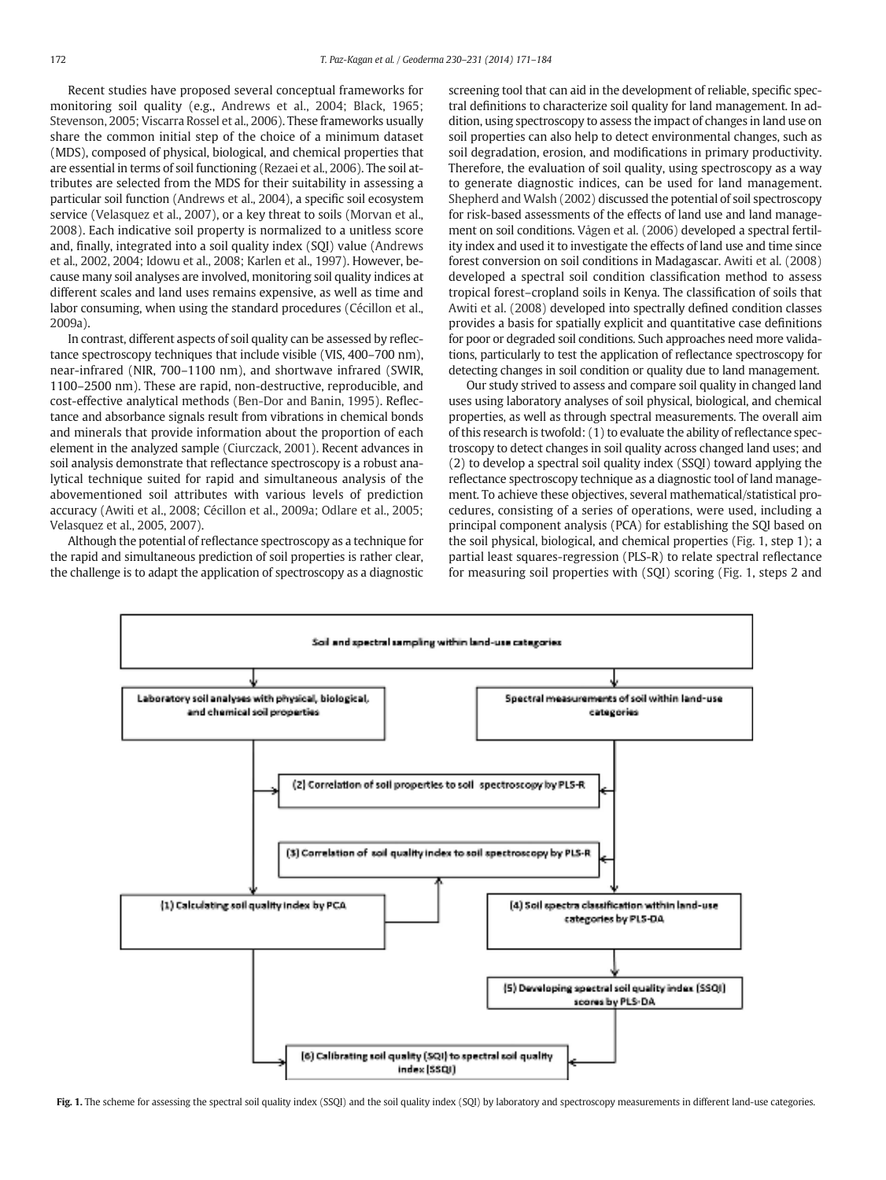Recent studies have proposed several conceptual frameworks for monitoring soil quality (e.g., Andrews et al., 2004; Black, 1965; Stevenson, 2005; Viscarra Rossel et al., 2006). These frameworks usually share the common initial step of the choice of a minimum dataset (MDS), composed of physical, biological, and chemical properties that are essential in terms of soil functioning (Rezaei et al., 2006). The soil attributes are selected from the MDS for their suitability in assessing a particular soil function (Andrews et al., 2004), a specific soil ecosystem service (Velasquez et al., 2007), or a key threat to soils (Morvan et al., 2008). Each indicative soil property is normalized to a unitless score and, finally, integrated into a soil quality index (SQI) value (Andrews et al., 2002, 2004; Idowu et al., 2008; Karlen et al., 1997). However, because many soil analyses are involved, monitoring soil quality indices at different scales and land uses remains expensive, as well as time and labor consuming, when using the standard procedures (Cécillon et al., 2009a).

In contrast, different aspects of soil quality can be assessed by reflectance spectroscopy techniques that include visible (VIS, 400–700 nm), near-infrared (NIR, 700–1100 nm), and shortwave infrared (SWIR, 1100–2500 nm). These are rapid, non-destructive, reproducible, and cost-effective analytical methods (Ben-Dor and Banin, 1995). Reflectance and absorbance signals result from vibrations in chemical bonds and minerals that provide information about the proportion of each element in the analyzed sample (Ciurczack, 2001). Recent advances in soil analysis demonstrate that reflectance spectroscopy is a robust analytical technique suited for rapid and simultaneous analysis of the abovementioned soil attributes with various levels of prediction accuracy (Awiti et al., 2008; Cécillon et al., 2009a; Odlare et al., 2005; Velasquez et al., 2005, 2007).

Although the potential of reflectance spectroscopy as a technique for the rapid and simultaneous prediction of soil properties is rather clear, the challenge is to adapt the application of spectroscopy as a diagnostic screening tool that can aid in the development of reliable, specific spectral definitions to characterize soil quality for land management. In addition, using spectroscopy to assess the impact of changes in land use on soil properties can also help to detect environmental changes, such as soil degradation, erosion, and modifications in primary productivity. Therefore, the evaluation of soil quality, using spectroscopy as a way to generate diagnostic indices, can be used for land management. Shepherd and Walsh (2002) discussed the potential of soil spectroscopy for risk-based assessments of the effects of land use and land management on soil conditions. Vågen et al. (2006) developed a spectral fertility index and used it to investigate the effects of land use and time since forest conversion on soil conditions in Madagascar. Awiti et al. (2008) developed a spectral soil condition classification method to assess tropical forest–cropland soils in Kenya. The classification of soils that Awiti et al. (2008) developed into spectrally defined condition classes provides a basis for spatially explicit and quantitative case definitions for poor or degraded soil conditions. Such approaches need more validations, particularly to test the application of reflectance spectroscopy for detecting changes in soil condition or quality due to land management.

Our study strived to assess and compare soil quality in changed land uses using laboratory analyses of soil physical, biological, and chemical properties, as well as through spectral measurements. The overall aim of this research is twofold: (1) to evaluate the ability of reflectance spectroscopy to detect changes in soil quality across changed land uses; and (2) to develop a spectral soil quality index (SSQI) toward applying the reflectance spectroscopy technique as a diagnostic tool of land management. To achieve these objectives, several mathematical/statistical procedures, consisting of a series of operations, were used, including a principal component analysis (PCA) for establishing the SQI based on the soil physical, biological, and chemical properties (Fig. 1, step 1); a partial least squares-regression (PLS-R) to relate spectral reflectance for measuring soil properties with (SQI) scoring (Fig. 1, steps 2 and



Fig. 1. The scheme for assessing the spectral soil quality index (SSQI) and the soil quality index (SQI) by laboratory and spectroscopy measurements in different land-use categories.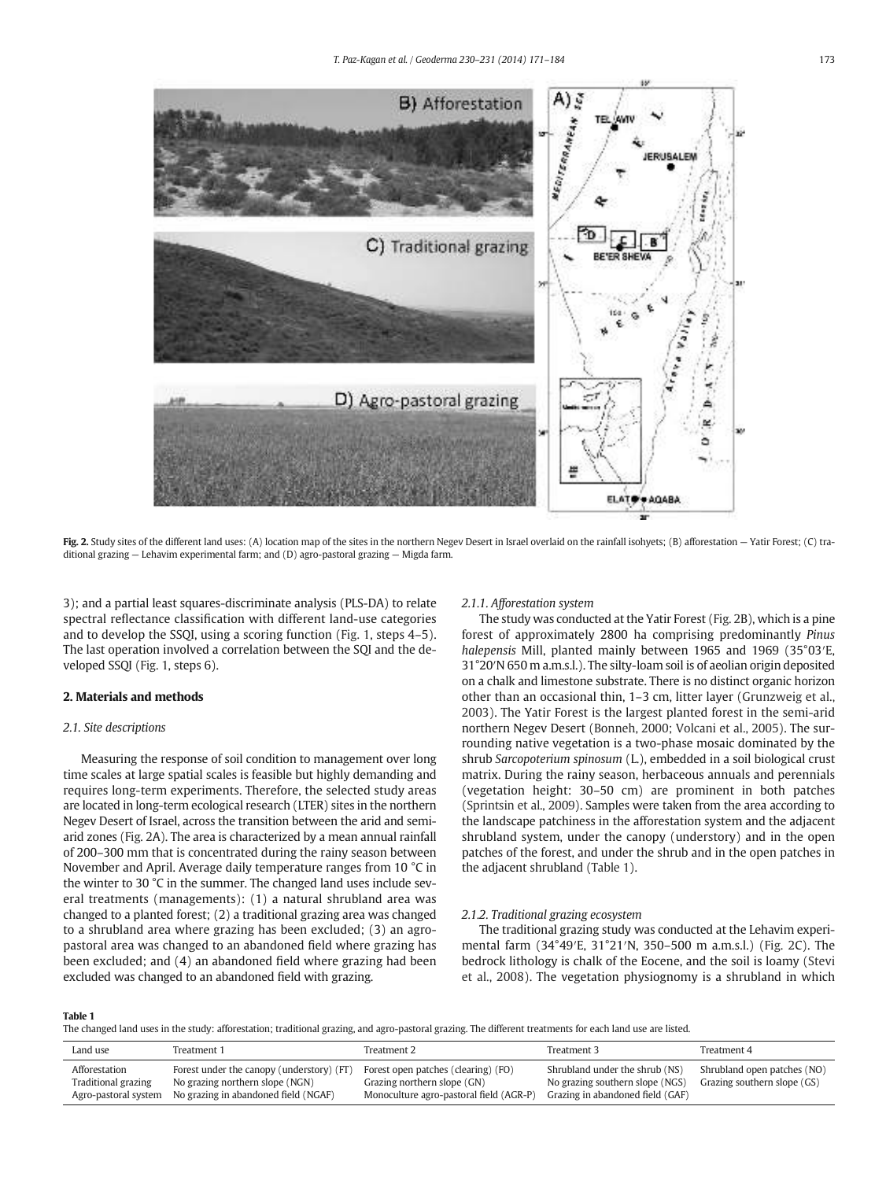

Fig. 2. Study sites of the different land uses: (A) location map of the sites in the northern Negev Desert in Israel overlaid on the rainfall isohyets; (B) afforestation - Yatir Forest; (C) traditional grazing — Lehavim experimental farm; and (D) agro-pastoral grazing — Migda farm.

3); and a partial least squares-discriminate analysis (PLS-DA) to relate spectral reflectance classification with different land-use categories and to develop the SSQI, using a scoring function (Fig. 1, steps 4–5). The last operation involved a correlation between the SQI and the developed SSQI (Fig. 1, steps 6).

# 2. Materials and methods

# *2.1. Site descriptions*

Measuring the response of soil condition to management over long time scales at large spatial scales is feasible but highly demanding and requires long-term experiments. Therefore, the selected study areas are located in long-term ecological research (LTER) sites in the northern Negev Desert of Israel, across the transition between the arid and semiarid zones (Fig. 2A). The area is characterized by a mean annual rainfall of 200–300 mm that is concentrated during the rainy season between November and April. Average daily temperature ranges from 10 °C in the winter to 30 °C in the summer. The changed land uses include several treatments (managements): (1) a natural shrubland area was changed to a planted forest; (2) a traditional grazing area was changed to a shrubland area where grazing has been excluded; (3) an agropastoral area was changed to an abandoned field where grazing has been excluded; and (4) an abandoned field where grazing had been excluded was changed to an abandoned field with grazing.

# *2.1.1. Afforestation system*

The study was conducted at the Yatir Forest (Fig. 2B), which is a pine forest of approximately 2800 ha comprising predominantly *Pinus halepensis* Mill, planted mainly between 1965 and 1969 (35°03′E, 31°20′N 650 m a.m.s.l.). The silty-loam soil is of aeolian origin deposited on a chalk and limestone substrate. There is no distinct organic horizon other than an occasional thin, 1–3 cm, litter layer (Grunzweig et al., 2003). The Yatir Forest is the largest planted forest in the semi-arid northern Negev Desert (Bonneh, 2000; Volcani et al., 2005). The surrounding native vegetation is a two-phase mosaic dominated by the shrub *Sarcopoterium spinosum* (L.), embedded in a soil biological crust matrix. During the rainy season, herbaceous annuals and perennials (vegetation height: 30–50 cm) are prominent in both patches (Sprintsin et al., 2009). Samples were taken from the area according to the landscape patchiness in the afforestation system and the adjacent shrubland system, under the canopy (understory) and in the open patches of the forest, and under the shrub and in the open patches in the adjacent shrubland (Table 1).

#### *2.1.2. Traditional grazing ecosystem*

The traditional grazing study was conducted at the Lehavim experimental farm (34°49′E, 31°21′N, 350–500 m a.m.s.l.) (Fig. 2C). The bedrock lithology is chalk of the Eocene, and the soil is loamy (Stevi et al., 2008). The vegetation physiognomy is a shrubland in which

Table 1

The changed land uses in the study: afforestation; traditional grazing, and agro-pastoral grazing. The different treatments for each land use are listed.

| Land use                                                     | Treatment 1                                                                                                          | Treatment 2                                                                                                   | Treatment 3                                                                                           | Treatment 4                                                |
|--------------------------------------------------------------|----------------------------------------------------------------------------------------------------------------------|---------------------------------------------------------------------------------------------------------------|-------------------------------------------------------------------------------------------------------|------------------------------------------------------------|
| Afforestation<br>Traditional grazing<br>Agro-pastoral system | Forest under the canopy (understory) (FT)<br>No grazing northern slope (NGN)<br>No grazing in abandoned field (NGAF) | Forest open patches (clearing) (FO)<br>Grazing northern slope (GN)<br>Monoculture agro-pastoral field (AGR-P) | Shrubland under the shrub (NS)<br>No grazing southern slope (NGS)<br>Grazing in abandoned field (GAF) | Shrubland open patches (NO)<br>Grazing southern slope (GS) |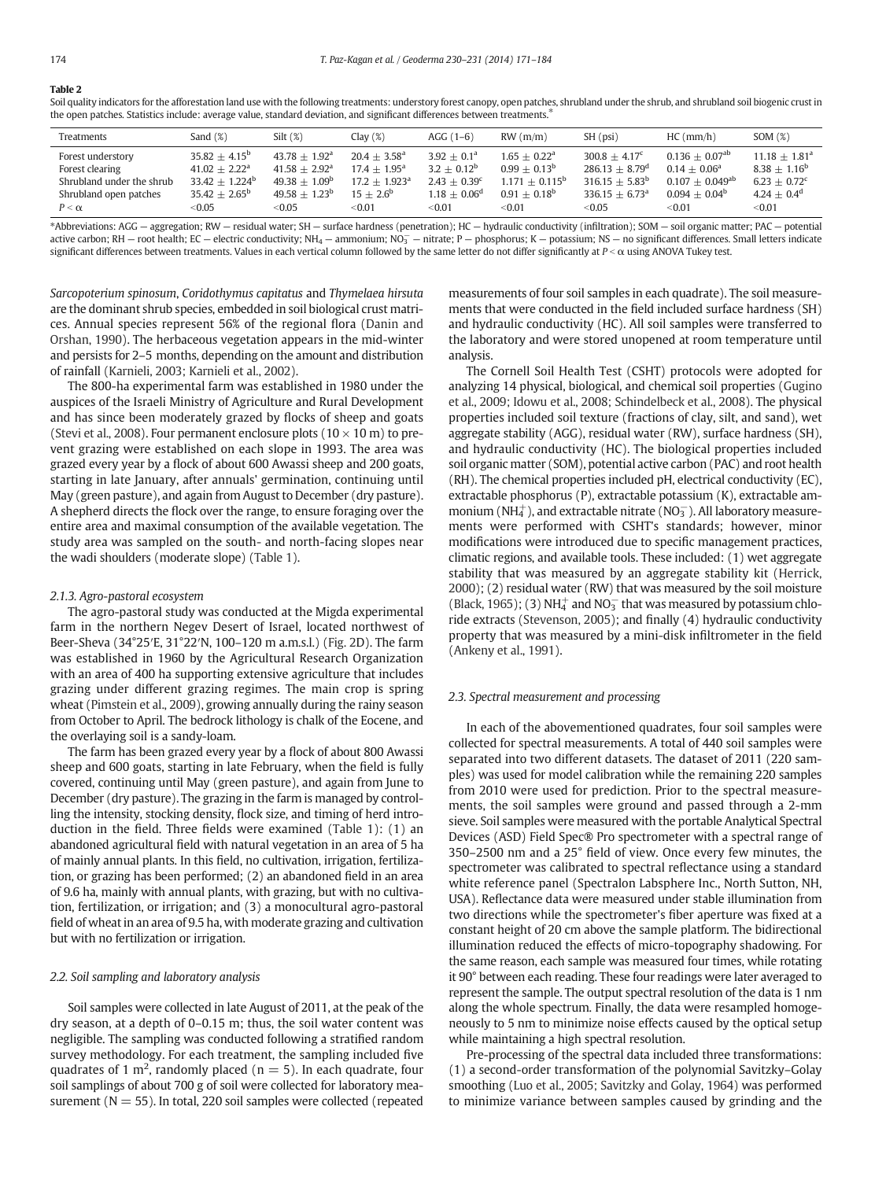# Table 2

Soil quality indicators for the afforestation land use with the following treatments: understory forest canopy, open patches, shrubland under the shrub, and shrubland soil biogenic crust in the open patches. Statistics include: average value, standard deviation, and significant differences between treatments.

| Treatments                | Sand $(\%)$               | Silt(%)                   | Clay (%)                    | AGG $(1-6)$     | RW(m/m)                 | $SH$ (psi)              | HC (mm/h)             | SOM(%)          |
|---------------------------|---------------------------|---------------------------|-----------------------------|-----------------|-------------------------|-------------------------|-----------------------|-----------------|
| Forest understory         | $35.82 + 4.15^b$          | $43.78 + 1.92^{\text{a}}$ | $20.4 + 3.58^{\circ}$       | $3.92 + 0.1a$   | $1.65 + 0.22^a$         | $300.8 + 4.17^c$        | $0.136 + 0.07^{ab}$   | $11.18 + 1.81a$ |
| Forest clearing           | $41.02 + 2.22^{\text{a}}$ | $41.58 + 2.92^{\circ}$    | $17.4 + 1.95^{\circ}$       | $3.2 + 0.12^b$  | $0.99 + 0.13^b$         | $286.13 + 8.79^d$       | $0.14 + 0.06^{\circ}$ | $8.38 + 1.16^b$ |
| Shrubland under the shrub | $33.42 + 1.224^b$         | $49.38 + 1.09^{\circ}$    | $17.2 + 1.923$ <sup>a</sup> | $2.43 + 0.39^c$ | $1.171 + 0.115^{\circ}$ | $316.15 + 5.83^b$       | $0.107 + 0.049^{ab}$  | $6.23 + 0.72^c$ |
| Shrubland open patches    | $35.42 + 2.65^{\circ}$    | $49.58 + 1.23^b$          | $15 + 2.6^b$                | $1.18 + 0.06^d$ | $0.91 + 0.18^b$         | $336.15 + 6.73^{\circ}$ | $0.094 + 0.04^b$      | $4.24 + 0.4^d$  |
| $P < \alpha$              | < 0.05                    | < 0.05                    | < 0.01                      | $<$ 0.01        | < 0.01                  | < 0.05                  | < 0.01                | $<$ 0.01        |

⁎Abbreviations: AGG — aggregation; RW — residual water; SH — surface hardness (penetration); HC — hydraulic conductivity (infiltration); SOM — soil organic matter; PAC — potential active carbon; RH – root health; EC – electric conductivity; NH<sub>4</sub> – ammonium; NO<sub>3</sub> – nitrate; P – phosphorus; K – potassium; NS – no significant differences. Small letters indicate significant differences between treatments. Values in each vertical column followed by the same letter do not differ significantly at  $P < \alpha$  using ANOVA Tukey test.

*Sarcopoterium spinosum*, *Coridothymus capitatus* and *Thymelaea hirsuta* are the dominant shrub species, embedded in soil biological crust matrices. Annual species represent 56% of the regional flora (Danin and Orshan, 1990). The herbaceous vegetation appears in the mid-winter and persists for 2–5 months, depending on the amount and distribution of rainfall (Karnieli, 2003; Karnieli et al., 2002).

The 800-ha experimental farm was established in 1980 under the auspices of the Israeli Ministry of Agriculture and Rural Development and has since been moderately grazed by flocks of sheep and goats (Stevi et al., 2008). Four permanent enclosure plots ( $10 \times 10$  m) to prevent grazing were established on each slope in 1993. The area was grazed every year by a flock of about 600 Awassi sheep and 200 goats, starting in late January, after annuals' germination, continuing until May (green pasture), and again from August to December (dry pasture). A shepherd directs the flock over the range, to ensure foraging over the entire area and maximal consumption of the available vegetation. The study area was sampled on the south- and north-facing slopes near the wadi shoulders (moderate slope) (Table 1).

#### *2.1.3. Agro-pastoral ecosystem*

The agro-pastoral study was conducted at the Migda experimental farm in the northern Negev Desert of Israel, located northwest of Beer-Sheva (34°25′E, 31°22′N, 100–120 m a.m.s.l.) (Fig. 2D). The farm was established in 1960 by the Agricultural Research Organization with an area of 400 ha supporting extensive agriculture that includes grazing under different grazing regimes. The main crop is spring wheat (Pimstein et al., 2009), growing annually during the rainy season from October to April. The bedrock lithology is chalk of the Eocene, and the overlaying soil is a sandy-loam.

The farm has been grazed every year by a flock of about 800 Awassi sheep and 600 goats, starting in late February, when the field is fully covered, continuing until May (green pasture), and again from June to December (dry pasture). The grazing in the farm is managed by controlling the intensity, stocking density, flock size, and timing of herd introduction in the field. Three fields were examined (Table 1): (1) an abandoned agricultural field with natural vegetation in an area of 5 ha of mainly annual plants. In this field, no cultivation, irrigation, fertilization, or grazing has been performed; (2) an abandoned field in an area of 9.6 ha, mainly with annual plants, with grazing, but with no cultivation, fertilization, or irrigation; and (3) a monocultural agro-pastoral field of wheat in an area of 9.5 ha, with moderate grazing and cultivation but with no fertilization or irrigation.

# *2.2. Soil sampling and laboratory analysis*

Soil samples were collected in late August of 2011, at the peak of the dry season, at a depth of 0–0.15 m; thus, the soil water content was negligible. The sampling was conducted following a stratified random survey methodology. For each treatment, the sampling included five quadrates of 1 m<sup>2</sup>, randomly placed ( $n = 5$ ). In each quadrate, four soil samplings of about 700 g of soil were collected for laboratory measurement ( $N = 55$ ). In total, 220 soil samples were collected (repeated measurements of four soil samples in each quadrate). The soil measurements that were conducted in the field included surface hardness (SH) and hydraulic conductivity (HC). All soil samples were transferred to the laboratory and were stored unopened at room temperature until analysis.

The Cornell Soil Health Test (CSHT) protocols were adopted for analyzing 14 physical, biological, and chemical soil properties (Gugino et al., 2009; Idowu et al., 2008; Schindelbeck et al., 2008). The physical properties included soil texture (fractions of clay, silt, and sand), wet aggregate stability (AGG), residual water (RW), surface hardness (SH), and hydraulic conductivity (HC). The biological properties included soil organic matter (SOM), potential active carbon (PAC) and root health (RH). The chemical properties included pH, electrical conductivity (EC), extractable phosphorus (P), extractable potassium (K), extractable ammonium ( $NH<sub>4</sub><sup>+</sup>$ ), and extractable nitrate (NO<sub>3</sub>). All laboratory measurements were performed with CSHT's standards; however, minor modifications were introduced due to specific management practices, climatic regions, and available tools. These included: (1) wet aggregate stability that was measured by an aggregate stability kit (Herrick, 2000); (2) residual water (RW) that was measured by the soil moisture (Black, 1965); (3) NH<sup>+</sup> and NO<sub>3</sub> that was measured by potassium chloride extracts (Stevenson, 2005); and finally (4) hydraulic conductivity property that was measured by a mini-disk infiltrometer in the field (Ankeny et al., 1991).

### *2.3. Spectral measurement and processing*

In each of the abovementioned quadrates, four soil samples were collected for spectral measurements. A total of 440 soil samples were separated into two different datasets. The dataset of 2011 (220 samples) was used for model calibration while the remaining 220 samples from 2010 were used for prediction. Prior to the spectral measurements, the soil samples were ground and passed through a 2-mm sieve. Soil samples were measured with the portable Analytical Spectral Devices (ASD) Field Spec® Pro spectrometer with a spectral range of 350–2500 nm and a 25° field of view. Once every few minutes, the spectrometer was calibrated to spectral reflectance using a standard white reference panel (Spectralon Labsphere Inc., North Sutton, NH, USA). Reflectance data were measured under stable illumination from two directions while the spectrometer's fiber aperture was fixed at a constant height of 20 cm above the sample platform. The bidirectional illumination reduced the effects of micro-topography shadowing. For the same reason, each sample was measured four times, while rotating it 90° between each reading. These four readings were later averaged to represent the sample. The output spectral resolution of the data is 1 nm along the whole spectrum. Finally, the data were resampled homogeneously to 5 nm to minimize noise effects caused by the optical setup while maintaining a high spectral resolution.

Pre-processing of the spectral data included three transformations: (1) a second-order transformation of the polynomial Savitzky–Golay smoothing (Luo et al., 2005; Savitzky and Golay, 1964) was performed to minimize variance between samples caused by grinding and the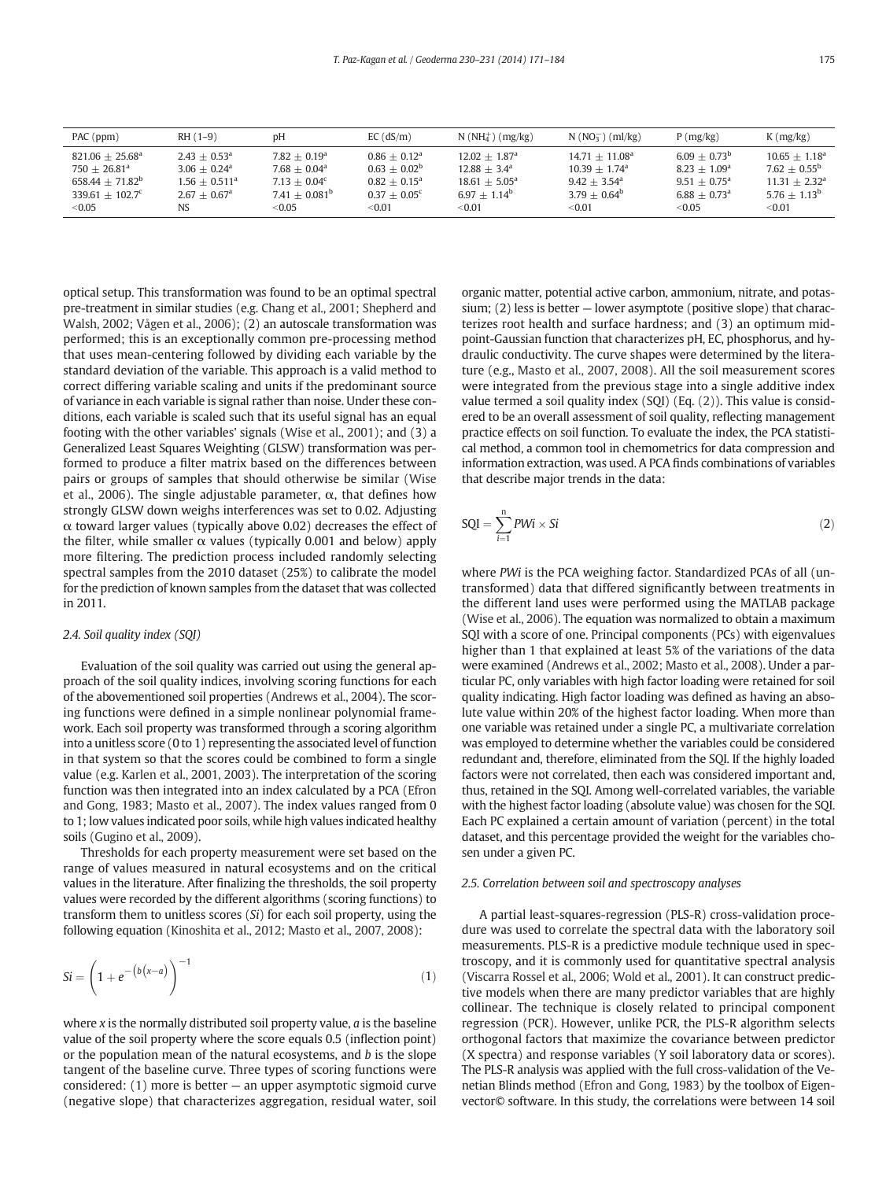| PAC (ppm)                   | $RH(1-9)$                  | υH               | $EC$ (dS/m)           | $N(NHd+) (mg/kg)$           | $N(NO_3^-) (ml/kg)$         | P(mg/kg)                   | $K$ (mg/kg)     |
|-----------------------------|----------------------------|------------------|-----------------------|-----------------------------|-----------------------------|----------------------------|-----------------|
| $821.06 + 25.68^{\text{a}}$ | $2.43 + 0.53$ <sup>a</sup> | $7.82 + 0.19a$   | $0.86 + 0.12^a$       | $12.02 + 1.87$ <sup>a</sup> | $14.71 + 11.08a$            | $6.09 + 0.73^b$            | $10.65 + 1.18a$ |
| $750 + 26.81$ <sup>a</sup>  | $3.06 + 0.24$ <sup>a</sup> | $7.68 + 0.04^a$  | $0.63 + 0.02^b$       | $12.88 + 3.4^{\circ}$       | $10.39 + 1.74$ <sup>a</sup> | $8.23 + 1.09^{\circ}$      | $7.62 + 0.55^b$ |
| $658.44 + 71.82^b$          | $1.56 + 0.511^a$           | $7.13 + 0.04^c$  | $0.82 + 0.15^a$       | $18.61 + 5.05^{\text{a}}$   | $9.42 + 3.54$ <sup>a</sup>  | $9.51 + 0.75^{\circ}$      | $11.31 + 2.32a$ |
| $339.61 + 102.7^c$          | $2.67 + 0.67$ <sup>a</sup> | $7.41 + 0.081^b$ | $0.37 + 0.05^{\circ}$ | $6.97 + 1.14^b$             | $3.79 + 0.64^b$             | $6.88 + 0.73$ <sup>a</sup> | $5.76 + 1.13^b$ |
| < 0.05                      | NS.                        | < 0.05           | < 0.01                | < 0.01                      | < 0.01                      | < 0.05                     | < 0.01          |

optical setup. This transformation was found to be an optimal spectral pre-treatment in similar studies (e.g. Chang et al., 2001; Shepherd and Walsh, 2002; Vågen et al., 2006); (2) an autoscale transformation was performed; this is an exceptionally common pre-processing method that uses mean-centering followed by dividing each variable by the standard deviation of the variable. This approach is a valid method to correct differing variable scaling and units if the predominant source of variance in each variable is signal rather than noise. Under these conditions, each variable is scaled such that its useful signal has an equal footing with the other variables' signals (Wise et al., 2001); and (3) a Generalized Least Squares Weighting (GLSW) transformation was performed to produce a filter matrix based on the differences between pairs or groups of samples that should otherwise be similar (Wise et al., 2006). The single adjustable parameter,  $\alpha$ , that defines how strongly GLSW down weighs interferences was set to 0.02. Adjusting  $\alpha$  toward larger values (typically above 0.02) decreases the effect of the filter, while smaller  $\alpha$  values (typically 0.001 and below) apply more filtering. The prediction process included randomly selecting spectral samples from the 2010 dataset (25%) to calibrate the model for the prediction of known samples from the dataset that was collected in 2011.

# *2.4. Soil quality index (SQI)*

Evaluation of the soil quality was carried out using the general approach of the soil quality indices, involving scoring functions for each of the abovementioned soil properties (Andrews et al., 2004). The scoring functions were defined in a simple nonlinear polynomial framework. Each soil property was transformed through a scoring algorithm into a unitless score (0 to 1) representing the associated level of function in that system so that the scores could be combined to form a single value (e.g. Karlen et al., 2001, 2003). The interpretation of the scoring function was then integrated into an index calculated by a PCA (Efron and Gong, 1983; Masto et al., 2007). The index values ranged from 0 to 1; low values indicated poor soils, while high values indicated healthy soils (Gugino et al., 2009).

Thresholds for each property measurement were set based on the range of values measured in natural ecosystems and on the critical values in the literature. After finalizing the thresholds, the soil property values were recorded by the different algorithms (scoring functions) to transform them to unitless scores (*Si*) for each soil property, using the following equation (Kinoshita et al., 2012; Masto et al., 2007, 2008):

$$
Si = \left(1 + e^{-\left(b\left(x-a\right)}\right)^{-1}\right) \tag{1}
$$

where *x* is the normally distributed soil property value, *a* is the baseline value of the soil property where the score equals 0.5 (inflection point) or the population mean of the natural ecosystems, and *b* is the slope tangent of the baseline curve. Three types of scoring functions were considered: (1) more is better — an upper asymptotic sigmoid curve (negative slope) that characterizes aggregation, residual water, soil organic matter, potential active carbon, ammonium, nitrate, and potassium; (2) less is better — lower asymptote (positive slope) that characterizes root health and surface hardness; and (3) an optimum midpoint-Gaussian function that characterizes pH, EC, phosphorus, and hydraulic conductivity. The curve shapes were determined by the literature (e.g., Masto et al., 2007, 2008). All the soil measurement scores were integrated from the previous stage into a single additive index value termed a soil quality index (SQI) (Eq. (2)). This value is considered to be an overall assessment of soil quality, reflecting management practice effects on soil function. To evaluate the index, the PCA statistical method, a common tool in chemometrics for data compression and information extraction, was used. A PCA finds combinations of variables that describe major trends in the data:

$$
SQL = \sum_{i=1}^{n} PWi \times Si \tag{2}
$$

where *PWi* is the PCA weighing factor. Standardized PCAs of all (untransformed) data that differed significantly between treatments in the different land uses were performed using the MATLAB package (Wise et al., 2006). The equation was normalized to obtain a maximum SQI with a score of one. Principal components (PCs) with eigenvalues higher than 1 that explained at least 5% of the variations of the data were examined (Andrews et al., 2002; Masto et al., 2008). Under a particular PC, only variables with high factor loading were retained for soil quality indicating. High factor loading was defined as having an absolute value within 20% of the highest factor loading. When more than one variable was retained under a single PC, a multivariate correlation was employed to determine whether the variables could be considered redundant and, therefore, eliminated from the SQI. If the highly loaded factors were not correlated, then each was considered important and, thus, retained in the SQI. Among well-correlated variables, the variable with the highest factor loading (absolute value) was chosen for the SQI. Each PC explained a certain amount of variation (percent) in the total dataset, and this percentage provided the weight for the variables chosen under a given PC.

# *2.5. Correlation between soil and spectroscopy analyses*

A partial least-squares-regression (PLS-R) cross-validation procedure was used to correlate the spectral data with the laboratory soil measurements. PLS-R is a predictive module technique used in spectroscopy, and it is commonly used for quantitative spectral analysis (Viscarra Rossel et al., 2006; Wold et al., 2001). It can construct predictive models when there are many predictor variables that are highly collinear. The technique is closely related to principal component regression (PCR). However, unlike PCR, the PLS-R algorithm selects orthogonal factors that maximize the covariance between predictor (X spectra) and response variables (Y soil laboratory data or scores). The PLS-R analysis was applied with the full cross-validation of the Venetian Blinds method (Efron and Gong, 1983) by the toolbox of Eigenvector© software. In this study, the correlations were between 14 soil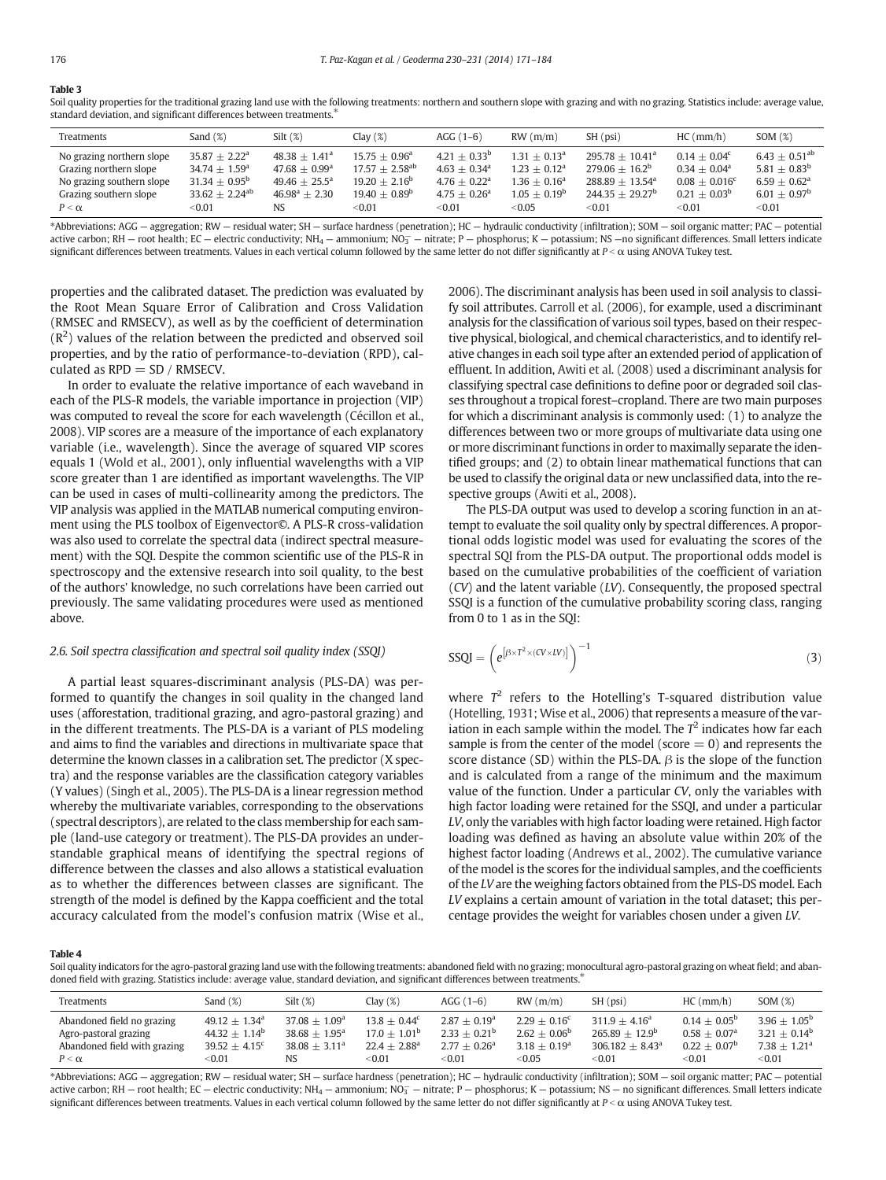#### Soil quality properties for the traditional grazing land use with the following treatments: northern and southern slope with grazing and with no grazing. Statistics include: average value, standard deviation, and significant differences between treatments.

| Treatments                                                                                                                 | Sand (%)                                                                                                    | Silt(%)                                                                                                      | Clay (%)                                                                                                                       | AGG $(1-6)$                                                                                                   | RW(m/m)                                                                                       | $SH$ (psi)                                                                                                      | HC (mm/h)                                                                                 | SOM(%)                                                                                                    |
|----------------------------------------------------------------------------------------------------------------------------|-------------------------------------------------------------------------------------------------------------|--------------------------------------------------------------------------------------------------------------|--------------------------------------------------------------------------------------------------------------------------------|---------------------------------------------------------------------------------------------------------------|-----------------------------------------------------------------------------------------------|-----------------------------------------------------------------------------------------------------------------|-------------------------------------------------------------------------------------------|-----------------------------------------------------------------------------------------------------------|
| No grazing northern slope<br>Grazing northern slope<br>No grazing southern slope<br>Grazing southern slope<br>$P < \alpha$ | $35.87 + 2.22^a$<br>$34.74 + 1.59$ <sup>a</sup><br>$31.34 + 0.95^b$<br>$33.62 + 2.24^{ab}$<br>$<$ 0.01 $\,$ | $48.38 + 1.41^a$<br>$47.68 + 0.99^{\circ}$<br>$49.46 + 25.5^{\circ}$<br>$46.98^{\rm a} + 2.30^{\rm b}$<br>NS | $15.75 + 0.96^{\text{a}}$<br>$17.57 + 2.58$ <sup>ab</sup><br>$19.20 + 2.16^{\circ}$<br>$19.40 + 0.89^{\circ}$<br>$<$ 0.01 $\,$ | $4.21 + 0.33^{b}$<br>$4.63 + 0.34$ <sup>a</sup><br>$4.76 + 0.22^{\rm a}$<br>$4.75 + 0.26^{\circ}$<br>$<$ 0.01 | $1.31 + 0.13a$<br>$1.23 + 0.12^a$<br>$1.36 + 0.16^{\rm a}$<br>$1.05 + 0.19^{\circ}$<br>< 0.05 | $295.78 + 10.41^a$<br>$279.06 + 16.2^b$<br>$288.89 + 13.54^a$<br>$244.35 + 29.27^{\mathrm{b}}$<br>$<$ 0.01 $\,$ | $0.14 + 0.04^c$<br>$0.34 + 0.04^{\rm a}$<br>$0.08 + 0.016^c$<br>$0.21 + 0.03^b$<br>< 0.01 | $6.43 + 0.51$ <sup>ab</sup><br>$5.81 + 0.83^b$<br>$6.59 + 0.62^{\mathrm{a}}$<br>$6.01 + 0.97^b$<br>< 0.01 |

⁎Abbreviations: AGG — aggregation; RW — residual water; SH — surface hardness (penetration); HC — hydraulic conductivity (infiltration); SOM — soil organic matter; PAC — potential active carbon; RH – root health; EC – electric conductivity; NH<sub>4</sub> – ammonium; NO<sub>3</sub> – nitrate; P – phosphorus; K – potassium; NS – no significant differences. Small letters indicate significant differences between treatments. Values in each vertical column followed by the same letter do not differ significantly at *P* < α using ANOVA Tukey test.

properties and the calibrated dataset. The prediction was evaluated by the Root Mean Square Error of Calibration and Cross Validation (RMSEC and RMSECV), as well as by the coefficient of determination  $(R<sup>2</sup>)$  values of the relation between the predicted and observed soil properties, and by the ratio of performance-to-deviation (RPD), calculated as  $RPD = SD / RMSECV$ .

In order to evaluate the relative importance of each waveband in each of the PLS-R models, the variable importance in projection (VIP) was computed to reveal the score for each wavelength (Cécillon et al., 2008). VIP scores are a measure of the importance of each explanatory variable (i.e., wavelength). Since the average of squared VIP scores equals 1 (Wold et al., 2001), only influential wavelengths with a VIP score greater than 1 are identified as important wavelengths. The VIP can be used in cases of multi-collinearity among the predictors. The VIP analysis was applied in the MATLAB numerical computing environment using the PLS toolbox of Eigenvector©. A PLS-R cross-validation was also used to correlate the spectral data (indirect spectral measurement) with the SQI. Despite the common scientific use of the PLS-R in spectroscopy and the extensive research into soil quality, to the best of the authors' knowledge, no such correlations have been carried out previously. The same validating procedures were used as mentioned above.

# *2.6. Soil spectra classi*fi*cation and spectral soil quality index (SSQI)*

A partial least squares-discriminant analysis (PLS-DA) was performed to quantify the changes in soil quality in the changed land uses (afforestation, traditional grazing, and agro-pastoral grazing) and in the different treatments. The PLS-DA is a variant of PLS modeling and aims to find the variables and directions in multivariate space that determine the known classes in a calibration set. The predictor (X spectra) and the response variables are the classification category variables (Y values) (Singh et al., 2005). The PLS-DA is a linear regression method whereby the multivariate variables, corresponding to the observations (spectral descriptors), are related to the class membership for each sample (land-use category or treatment). The PLS-DA provides an understandable graphical means of identifying the spectral regions of difference between the classes and also allows a statistical evaluation as to whether the differences between classes are significant. The strength of the model is defined by the Kappa coefficient and the total accuracy calculated from the model's confusion matrix (Wise et al.,

2006). The discriminant analysis has been used in soil analysis to classify soil attributes. Carroll et al. (2006), for example, used a discriminant analysis for the classification of various soil types, based on their respective physical, biological, and chemical characteristics, and to identify relative changes in each soil type after an extended period of application of effluent. In addition, Awiti et al. (2008) used a discriminant analysis for classifying spectral case definitions to define poor or degraded soil classes throughout a tropical forest–cropland. There are two main purposes for which a discriminant analysis is commonly used: (1) to analyze the differences between two or more groups of multivariate data using one or more discriminant functions in order to maximally separate the identified groups; and (2) to obtain linear mathematical functions that can be used to classify the original data or new unclassified data, into the respective groups (Awiti et al., 2008).

The PLS-DA output was used to develop a scoring function in an attempt to evaluate the soil quality only by spectral differences. A proportional odds logistic model was used for evaluating the scores of the spectral SQI from the PLS-DA output. The proportional odds model is based on the cumulative probabilities of the coefficient of variation (*CV*) and the latent variable (*LV*). Consequently, the proposed spectral SSQI is a function of the cumulative probability scoring class, ranging from 0 to 1 as in the SQI:

$$
SSQI = \left(e^{\left[\beta \times T^2 \times (CV \times LV)\right]}\right)^{-1}
$$
\n(3)

where  $T^2$  refers to the Hotelling's T-squared distribution value (Hotelling, 1931; Wise et al., 2006) that represents a measure of the variation in each sample within the model. The  $T^2$  indicates how far each sample is from the center of the model (score  $= 0$ ) and represents the score distance (SD) within the PLS-DA.  $\beta$  is the slope of the function and is calculated from a range of the minimum and the maximum value of the function. Under a particular *CV*, only the variables with high factor loading were retained for the SSQI, and under a particular *LV*, only the variables with high factor loading were retained. High factor loading was defined as having an absolute value within 20% of the highest factor loading (Andrews et al., 2002). The cumulative variance of the model is the scores for the individual samples, and the coefficients of the *LV* are the weighing factors obtained from the PLS-DS model. Each *LV* explains a certain amount of variation in the total dataset; this percentage provides the weight for variables chosen under a given *LV*.

### Table 4

Soil quality indicators for the agro-pastoral grazing land use with the following treatments: abandoned field with no grazing; monocultural agro-pastoral grazing on wheat field; and abandoned field with grazing. Statistics include: average value, standard deviation, and significant differences between treatments.<sup>¡</sup>

| Treatments                   | Sand (%)                    | Silt(%)                | Clay (%)              | AGG $(1-6)$              | RW(m/m)         | $SH$ (psi)        | HC (mm/h)                  | SOM(%)                     |
|------------------------------|-----------------------------|------------------------|-----------------------|--------------------------|-----------------|-------------------|----------------------------|----------------------------|
| Abandoned field no grazing   | $49.12 + 1.34$ <sup>a</sup> | $37.08 + 1.09^{\circ}$ | $13.8 + 0.44^c$       | $2.87 + 0.19^a$          | $2.29 + 0.16^c$ | $311.9 + 4.16^a$  | $0.14 + 0.05^{\circ}$      | $3.96 + 1.05^{\rm b}$      |
| Agro-pastoral grazing        | $44.32 + 1.14^b$            | $38.68 + 1.95^{\circ}$ | $17.0 + 1.01^{\rm b}$ | $2.33 + 0.21^b$          | $2.62 + 0.06^b$ | $265.89 + 12.9^b$ | $0.58 + 0.07$ <sup>a</sup> | $3.21 + 0.14^b$            |
| Abandoned field with grazing | $39.52 + 4.15^{\circ}$      | $38.08 + 3.11^a$       | $22.4 + 2.88^a$       | $2.77 + 0.26^{\text{a}}$ | $3.18 + 0.19^a$ | $306.182 + 8.43a$ | $0.22 + 0.07^b$            | $7.38 + 1.21$ <sup>a</sup> |
| $P < \alpha$                 | $<$ 0.01 $\,$               | NS                     | < 0.01                | < 0.01                   | < 0.05          | < 0.01            | < 0.01                     | < 0.01                     |

⁎Abbreviations: AGG — aggregation; RW — residual water; SH — surface hardness (penetration); HC — hydraulic conductivity (infiltration); SOM — soil organic matter; PAC — potential active carbon; RH – root health; EC – electric conductivity; NH<sub>4</sub> – ammonium; NO<sub>3</sub> – nitrate; P – phosphorus; K – potassium; NS – no significant differences. Small letters indicate significant differences between treatments. Values in each vertical column followed by the same letter do not differ significantly at *P* < α using ANOVA Tukey test.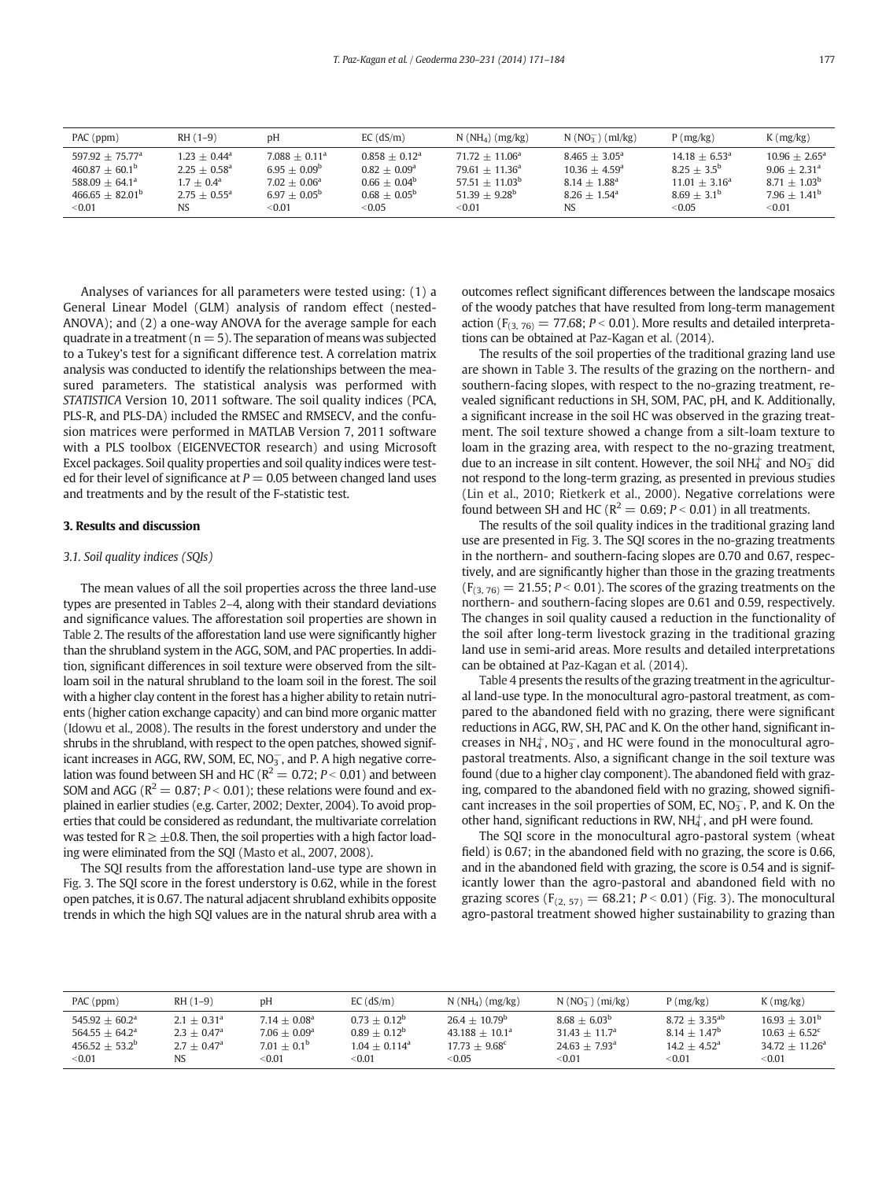| PAC (ppm)                | $RH(1-9)$                  | DΗ              | $EC$ (dS/m)           | $N(NH_4)$ (mg/kg)            | $N(NO3)$ (ml/kg)           | P(mg/kg)         | $K$ (mg/kg)                |
|--------------------------|----------------------------|-----------------|-----------------------|------------------------------|----------------------------|------------------|----------------------------|
| $597.92 + 75.77^a$       | $1.23 + 0.44^a$            | $7.088 + 0.11a$ | $0.858 + 0.12^a$      | $71.72 + 11.06^a$            | $8.465 + 3.05^{\circ}$     | $14.18 + 6.53a$  | $10.96 + 2.65^{\text{a}}$  |
| $460.87 + 60.1b$         | $2.25 + 0.58$ <sup>a</sup> | $6.95 + 0.09^b$ | $0.82 + 0.09^{\rm a}$ | $79.61 + 11.36$ <sup>a</sup> | $10.36 + 4.59^{\circ}$     | $825 + 35^{b}$   | $9.06 + 2.31$ <sup>a</sup> |
| $588.09 + 64.1^{\circ}$  | $1.7 + 0.4^{\rm a}$        | $7.02 + 0.06^a$ | $0.66 + 0.04^b$       | $57.51 + 11.03^b$            | $8.14 + 1.88$ <sup>a</sup> | $11.01 + 3.16^a$ | $8.71 + 1.03^b$            |
| $466.65 + 82.01^{\rm b}$ | $2.75 + 0.55^{\text{a}}$   | $6.97 + 0.05^b$ | $0.68 + 0.05^{\circ}$ | $51.39 + 9.28^b$             | $8.26 + 1.54$ <sup>a</sup> | $8.69 + 3.1^{b}$ | $7.96 + 1.41^b$            |
| < 0.01                   | NS.                        | < 0.01          | < 0.05                | < 0.01                       | NS.                        | < 0.05           | < 0.01                     |

Analyses of variances for all parameters were tested using: (1) a General Linear Model (GLM) analysis of random effect (nested-ANOVA); and (2) a one-way ANOVA for the average sample for each quadrate in a treatment ( $n = 5$ ). The separation of means was subjected to a Tukey's test for a significant difference test. A correlation matrix analysis was conducted to identify the relationships between the measured parameters. The statistical analysis was performed with *STATISTICA* Version 10, 2011 software. The soil quality indices (PCA, PLS-R, and PLS-DA) included the RMSEC and RMSECV, and the confusion matrices were performed in MATLAB Version 7, 2011 software with a PLS toolbox (EIGENVECTOR research) and using Microsoft Excel packages. Soil quality properties and soil quality indices were tested for their level of significance at  $P = 0.05$  between changed land uses and treatments and by the result of the F-statistic test.

# 3. Results and discussion

# *3.1. Soil quality indices (SQIs)*

The mean values of all the soil properties across the three land-use types are presented in Tables 2–4, along with their standard deviations and significance values. The afforestation soil properties are shown in Table 2. The results of the afforestation land use were significantly higher than the shrubland system in the AGG, SOM, and PAC properties. In addition, significant differences in soil texture were observed from the siltloam soil in the natural shrubland to the loam soil in the forest. The soil with a higher clay content in the forest has a higher ability to retain nutrients (higher cation exchange capacity) and can bind more organic matter (Idowu et al., 2008). The results in the forest understory and under the shrubs in the shrubland, with respect to the open patches, showed significant increases in AGG, RW, SOM, EC, NO $_3^-$ , and P. A high negative correlation was found between SH and HC ( $R^2 = 0.72$ ;  $P < 0.01$ ) and between SOM and AGG ( $R^2 = 0.87$ ;  $P < 0.01$ ); these relations were found and explained in earlier studies (e.g. Carter, 2002; Dexter, 2004). To avoid properties that could be considered as redundant, the multivariate correlation was tested for  $R \ge \pm 0.8$ . Then, the soil properties with a high factor loading were eliminated from the SQI (Masto et al., 2007, 2008).

The SQI results from the afforestation land-use type are shown in Fig. 3. The SQI score in the forest understory is 0.62, while in the forest open patches, it is 0.67. The natural adjacent shrubland exhibits opposite trends in which the high SQI values are in the natural shrub area with a outcomes reflect significant differences between the landscape mosaics of the woody patches that have resulted from long-term management action ( $F_{(3, 76)} = 77.68$ ;  $P < 0.01$ ). More results and detailed interpretations can be obtained at Paz-Kagan et al. (2014).

The results of the soil properties of the traditional grazing land use are shown in Table 3. The results of the grazing on the northern- and southern-facing slopes, with respect to the no-grazing treatment, revealed significant reductions in SH, SOM, PAC, pH, and K. Additionally, a significant increase in the soil HC was observed in the grazing treatment. The soil texture showed a change from a silt-loam texture to loam in the grazing area, with respect to the no-grazing treatment, due to an increase in silt content. However, the soil NH $_4^+$  and NO<sub>3</sub> did not respond to the long-term grazing, as presented in previous studies (Lin et al., 2010; Rietkerk et al., 2000). Negative correlations were found between SH and HC ( $R^2 = 0.69$ ;  $P < 0.01$ ) in all treatments.

The results of the soil quality indices in the traditional grazing land use are presented in Fig. 3. The SQI scores in the no-grazing treatments in the northern- and southern-facing slopes are 0.70 and 0.67, respectively, and are significantly higher than those in the grazing treatments  $(F<sub>(3, 76)</sub> = 21.55; P < 0.01)$ . The scores of the grazing treatments on the northern- and southern-facing slopes are 0.61 and 0.59, respectively. The changes in soil quality caused a reduction in the functionality of the soil after long-term livestock grazing in the traditional grazing land use in semi-arid areas. More results and detailed interpretations can be obtained at Paz-Kagan et al. (2014).

Table 4 presents the results of the grazing treatment in the agricultural land-use type. In the monocultural agro-pastoral treatment, as compared to the abandoned field with no grazing, there were significant reductions in AGG, RW, SH, PAC and K. On the other hand, significant increases in  $NH_4^+$ , NO<sub>3</sub>, and HC were found in the monocultural agropastoral treatments. Also, a significant change in the soil texture was found (due to a higher clay component). The abandoned field with grazing, compared to the abandoned field with no grazing, showed significant increases in the soil properties of SOM, EC,  $NO<sub>3</sub>$ , P, and K. On the other hand, significant reductions in RW,  $NH<sub>4</sub><sup>+</sup>$ , and pH were found.

The SQI score in the monocultural agro-pastoral system (wheat field) is 0.67; in the abandoned field with no grazing, the score is 0.66, and in the abandoned field with grazing, the score is 0.54 and is significantly lower than the agro-pastoral and abandoned field with no grazing scores ( $F_{(2, 57)} = 68.21$ ;  $P < 0.01$ ) (Fig. 3). The monocultural agro-pastoral treatment showed higher sustainability to grazing than

| PAC (ppm)                    | $RH(1-9)$                 | pΗ                         | $EC$ (dS/m)      | $N(NH_4)$ (mg/kg)      | $N(NO_3^-)$ (mi/kg) | P(mg/kg)                    | $K$ (mg/kg)            |
|------------------------------|---------------------------|----------------------------|------------------|------------------------|---------------------|-----------------------------|------------------------|
| $545.92 + 60.2^{\mathrm{a}}$ | $2.1 + 0.31$ <sup>a</sup> | $7.14 + 0.08$ <sup>a</sup> | $0.73 + 0.12^b$  | $26.4 + 10.79^b$       | $8.68 + 6.03^b$     | $8.72 + 3.35$ <sup>ab</sup> | $16.93 + 3.01b$        |
| $564.55 + 64.2^a$            | $2.3 + 0.47$ <sup>a</sup> | $7.06 + 0.09a$             | $0.89 + 0.12^b$  | $43.188 + 10.1^a$      | $31.43 + 11.7a$     | $8.14 + 1.47^b$             | $10.63 + 6.52^{\circ}$ |
| $456.52 + 53.2^b$            | $2.7 + 0.47$ <sup>a</sup> | $7.01 + 0.1^b$             | $1.04 + 0.114^a$ | $17.73 + 9.68^{\circ}$ | $24.63 + 7.93a$     | $14.2 + 4.52^{\circ}$       | $34.72 + 11.26^a$      |
| < 0.01                       | NS                        | < 0.01                     | < 0.01           | < 0.05                 | < 0.01              | < 0.01                      | < 0.01                 |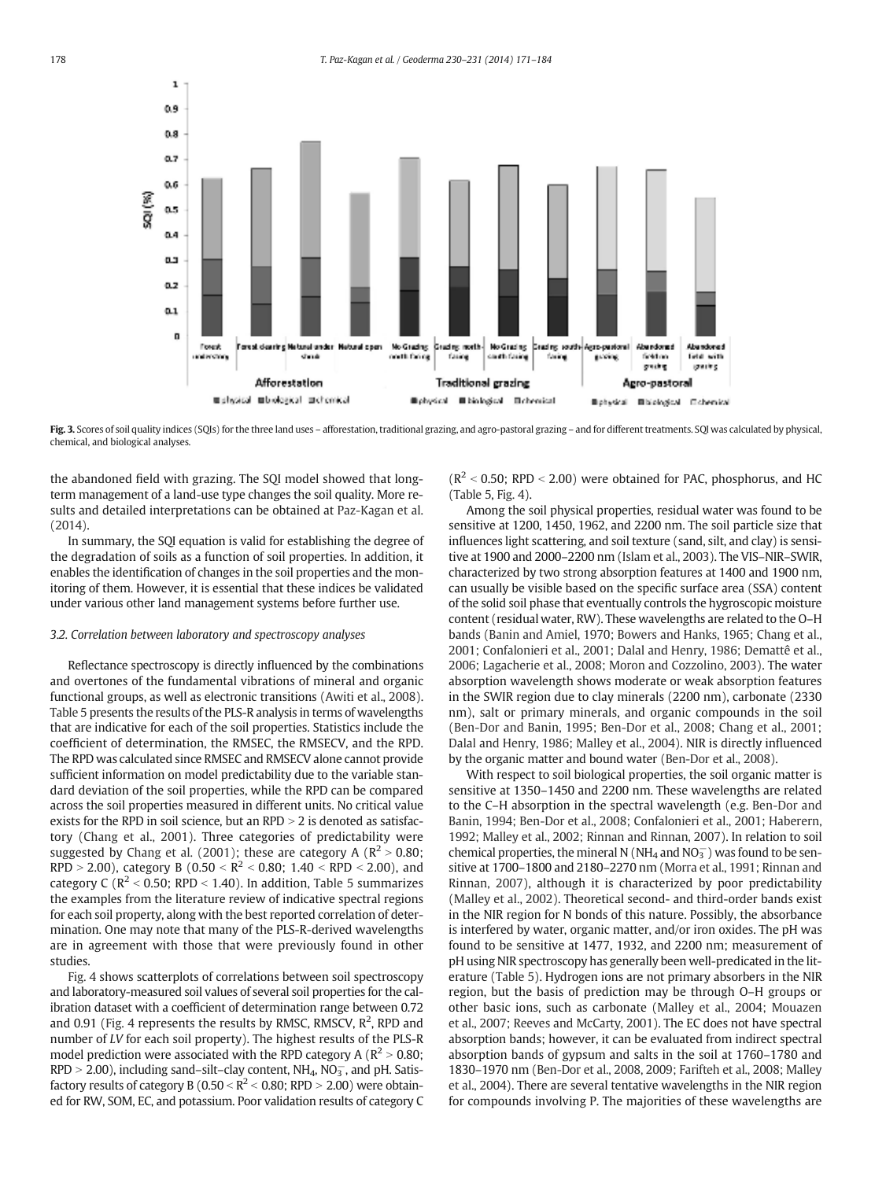

Fig. 3. Scores of soil quality indices (SQIs) for the three land uses - afforestation, traditional grazing, and agro-pastoral grazing - and for different treatments. SQI was calculated by physical, chemical, and biological analyses.

the abandoned field with grazing. The SQI model showed that longterm management of a land-use type changes the soil quality. More results and detailed interpretations can be obtained at Paz-Kagan et al. (2014).

In summary, the SQI equation is valid for establishing the degree of the degradation of soils as a function of soil properties. In addition, it enables the identification of changes in the soil properties and the monitoring of them. However, it is essential that these indices be validated under various other land management systems before further use.

# *3.2. Correlation between laboratory and spectroscopy analyses*

Reflectance spectroscopy is directly influenced by the combinations and overtones of the fundamental vibrations of mineral and organic functional groups, as well as electronic transitions (Awiti et al., 2008). Table 5 presents the results of the PLS-R analysis in terms of wavelengths that are indicative for each of the soil properties. Statistics include the coefficient of determination, the RMSEC, the RMSECV, and the RPD. The RPD was calculated since RMSEC and RMSECV alone cannot provide sufficient information on model predictability due to the variable standard deviation of the soil properties, while the RPD can be compared across the soil properties measured in different units. No critical value exists for the RPD in soil science, but an RPD  $>$  2 is denoted as satisfactory (Chang et al., 2001). Three categories of predictability were suggested by Chang et al. (2001); these are category A ( $R^2 > 0.80$ ; RPD > 2.00), category B (0.50 <  $R^2$  < 0.80; 1.40 < RPD < 2.00), and category C ( $R^2$  < 0.50; RPD < 1.40). In addition, Table 5 summarizes the examples from the literature review of indicative spectral regions for each soil property, along with the best reported correlation of determination. One may note that many of the PLS-R-derived wavelengths are in agreement with those that were previously found in other studies.

Fig. 4 shows scatterplots of correlations between soil spectroscopy and laboratory-measured soil values of several soil properties for the calibration dataset with a coefficient of determination range between 0.72 and 0.91 (Fig. 4 represents the results by RMSC, RMSCV,  $R^2$ , RPD and number of *LV* for each soil property). The highest results of the PLS-R model prediction were associated with the RPD category A ( $R^2 > 0.80$ ;  $RPD > 2.00$ ), including sand–silt–clay content, NH<sub>4</sub>, NO<sub>3</sub>, and pH. Satisfactory results of category B (0.50 <  $R^2$  < 0.80; RPD > 2.00) were obtained for RW, SOM, EC, and potassium. Poor validation results of category C  $(R<sup>2</sup> < 0.50$ ; RPD < 2.00) were obtained for PAC, phosphorus, and HC (Table 5, Fig. 4).

Among the soil physical properties, residual water was found to be sensitive at 1200, 1450, 1962, and 2200 nm. The soil particle size that influences light scattering, and soil texture (sand, silt, and clay) is sensitive at 1900 and 2000–2200 nm (Islam et al., 2003). The VIS–NIR–SWIR, characterized by two strong absorption features at 1400 and 1900 nm, can usually be visible based on the specific surface area (SSA) content of the solid soil phase that eventually controls the hygroscopic moisture content (residual water, RW). These wavelengths are related to the O–H bands (Banin and Amiel, 1970; Bowers and Hanks, 1965; Chang et al., 2001; Confalonieri et al., 2001; Dalal and Henry, 1986; Demattê et al., 2006; Lagacherie et al., 2008; Moron and Cozzolino, 2003). The water absorption wavelength shows moderate or weak absorption features in the SWIR region due to clay minerals (2200 nm), carbonate (2330 nm), salt or primary minerals, and organic compounds in the soil (Ben-Dor and Banin, 1995; Ben-Dor et al., 2008; Chang et al., 2001; Dalal and Henry, 1986; Malley et al., 2004). NIR is directly influenced by the organic matter and bound water (Ben-Dor et al., 2008).

With respect to soil biological properties, the soil organic matter is sensitive at 1350–1450 and 2200 nm. These wavelengths are related to the C–H absorption in the spectral wavelength (e.g. Ben-Dor and Banin, 1994; Ben-Dor et al., 2008; Confalonieri et al., 2001; Haberern, 1992; Malley et al., 2002; Rinnan and Rinnan, 2007). In relation to soil chemical properties, the mineral N (NH<sub>4</sub> and NO<sub>3</sub>) was found to be sensitive at 1700–1800 and 2180–2270 nm (Morra et al., 1991; Rinnan and Rinnan, 2007), although it is characterized by poor predictability (Malley et al., 2002). Theoretical second- and third-order bands exist in the NIR region for N bonds of this nature. Possibly, the absorbance is interfered by water, organic matter, and/or iron oxides. The pH was found to be sensitive at 1477, 1932, and 2200 nm; measurement of pH using NIR spectroscopy has generally been well-predicated in the literature (Table 5). Hydrogen ions are not primary absorbers in the NIR region, but the basis of prediction may be through O–H groups or other basic ions, such as carbonate (Malley et al., 2004; Mouazen et al., 2007; Reeves and McCarty, 2001). The EC does not have spectral absorption bands; however, it can be evaluated from indirect spectral absorption bands of gypsum and salts in the soil at 1760–1780 and 1830–1970 nm (Ben-Dor et al., 2008, 2009; Farifteh et al., 2008; Malley et al., 2004). There are several tentative wavelengths in the NIR region for compounds involving P. The majorities of these wavelengths are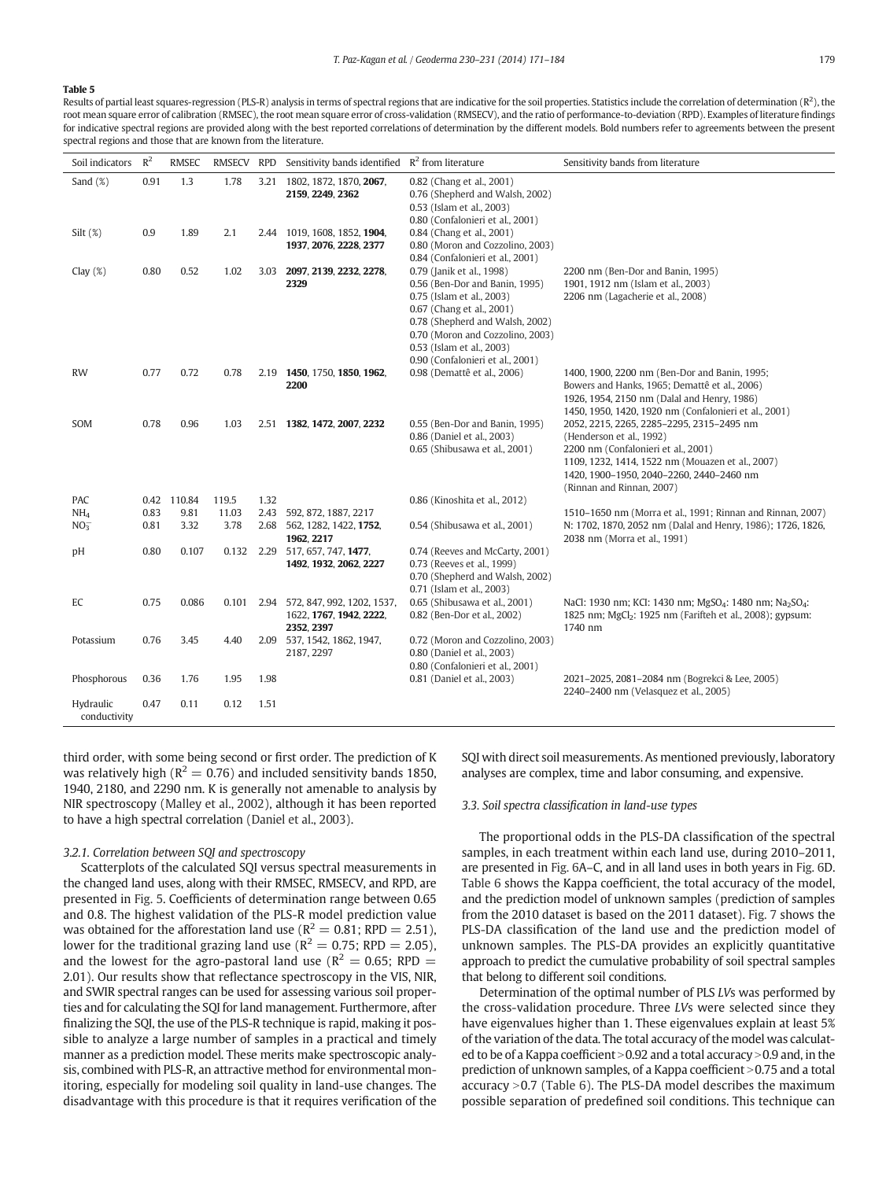### Table 5

Results of partial least squares-regression (PLS-R) analysis in terms of spectral regions that are indicative for the soil properties. Statistics include the correlation of determination ( $R^2$ ), the root mean square error of calibration (RMSEC), the root mean square error of cross-validation (RMSECV), and the ratio of performance-to-deviation (RPD). Examples of literature findings for indicative spectral regions are provided along with the best reported correlations of determination by the different models. Bold numbers refer to agreements between the present spectral regions and those that are known from the literature.

| Soil indicators           | $\mathbb{R}^2$ | <b>RMSEC</b> | <b>RMSECV</b> | <b>RPD</b> | Sensitivity bands identified                                        | $R^2$ from literature                                                                                                                                                                                                                                         | Sensitivity bands from literature                                                                                                                                                                                                         |
|---------------------------|----------------|--------------|---------------|------------|---------------------------------------------------------------------|---------------------------------------------------------------------------------------------------------------------------------------------------------------------------------------------------------------------------------------------------------------|-------------------------------------------------------------------------------------------------------------------------------------------------------------------------------------------------------------------------------------------|
| Sand $(\%)$               | 0.91           | 1.3          | 1.78          | 3.21       | 1802, 1872, 1870, 2067,<br>2159, 2249, 2362                         | 0.82 (Chang et al., 2001)<br>0.76 (Shepherd and Walsh, 2002)<br>0.53 (Islam et al., 2003)<br>0.80 (Confalonieri et al., 2001)                                                                                                                                 |                                                                                                                                                                                                                                           |
| $Silt$ (%)                | 0.9            | 1.89         | 2.1           | 2.44       | 1019, 1608, 1852, 1904,<br>1937, 2076, 2228, 2377                   | 0.84 (Chang et al., 2001)<br>0.80 (Moron and Cozzolino, 2003)<br>0.84 (Confalonieri et al., 2001)                                                                                                                                                             |                                                                                                                                                                                                                                           |
| Clay $(\%)$               | 0.80           | 0.52         | 1.02          | 3.03       | 2097, 2139, 2232, 2278,<br>2329                                     | 0.79 (Janik et al., 1998)<br>0.56 (Ben-Dor and Banin, 1995)<br>0.75 (Islam et al., 2003)<br>0.67 (Chang et al., 2001)<br>0.78 (Shepherd and Walsh, 2002)<br>0.70 (Moron and Cozzolino, 2003)<br>0.53 (Islam et al., 2003)<br>0.90 (Confalonieri et al., 2001) | 2200 nm (Ben-Dor and Banin, 1995)<br>1901, 1912 nm (Islam et al., 2003)<br>2206 nm (Lagacherie et al., 2008)                                                                                                                              |
| <b>RW</b>                 | 0.77           | 0.72         | 0.78          | 2.19       | 1450, 1750, 1850, 1962,<br>2200                                     | 0.98 (Demattê et al., 2006)                                                                                                                                                                                                                                   | 1400, 1900, 2200 nm (Ben-Dor and Banin, 1995;<br>Bowers and Hanks, 1965; Demattê et al., 2006)<br>1926, 1954, 2150 nm (Dalal and Henry, 1986)<br>1450, 1950, 1420, 1920 nm (Confalonieri et al., 2001)                                    |
| SOM                       | 0.78           | 0.96         | 1.03          |            | 2.51 1382, 1472, 2007, 2232                                         | 0.55 (Ben-Dor and Banin, 1995)<br>0.86 (Daniel et al., 2003)<br>0.65 (Shibusawa et al., 2001)                                                                                                                                                                 | 2052, 2215, 2265, 2285-2295, 2315-2495 nm<br>(Henderson et al., 1992)<br>2200 nm (Confalonieri et al., 2001)<br>1109, 1232, 1414, 1522 nm (Mouazen et al., 2007)<br>1420, 1900-1950, 2040-2260, 2440-2460 nm<br>(Rinnan and Rinnan, 2007) |
| PAC                       |                | 0.42 110.84  | 119.5         | 1.32       |                                                                     | 0.86 (Kinoshita et al., 2012)                                                                                                                                                                                                                                 |                                                                                                                                                                                                                                           |
| NH <sub>4</sub>           | 0.83           | 9.81         | 11.03         | 2.43       | 592, 872, 1887, 2217                                                |                                                                                                                                                                                                                                                               | 1510-1650 nm (Morra et al., 1991; Rinnan and Rinnan, 2007)                                                                                                                                                                                |
| NO <sub>3</sub>           | 0.81           | 3.32         | 3.78          | 2.68       | 562, 1282, 1422, 1752,<br>1962.2217                                 | 0.54 (Shibusawa et al., 2001)                                                                                                                                                                                                                                 | N: 1702, 1870, 2052 nm (Dalal and Henry, 1986); 1726, 1826,<br>2038 nm (Morra et al., 1991)                                                                                                                                               |
| pH                        | 0.80           | 0.107        | 0.132         | 2.29       | 517, 657, 747, 1477,<br>1492, 1932, 2062, 2227                      | 0.74 (Reeves and McCarty, 2001)<br>0.73 (Reeves et al., 1999)<br>0.70 (Shepherd and Walsh, 2002)<br>0.71 (Islam et al., 2003)                                                                                                                                 |                                                                                                                                                                                                                                           |
| EC                        | 0.75           | 0.086        | 0.101         | 2.94       | 572, 847, 992, 1202, 1537,<br>1622, 1767, 1942, 2222,<br>2352, 2397 | 0.65 (Shibusawa et al., 2001)<br>0.82 (Ben-Dor et al., 2002)                                                                                                                                                                                                  | NaCl: 1930 nm; KCl: 1430 nm; MgSO <sub>4</sub> : 1480 nm; Na <sub>2</sub> SO <sub>4</sub> :<br>1825 nm; MgCl <sub>2</sub> : 1925 nm (Farifteh et al., 2008); gypsum:<br>1740 nm                                                           |
| Potassium                 | 0.76           | 3.45         | 4.40          | 2.09       | 537, 1542, 1862, 1947,<br>2187, 2297                                | 0.72 (Moron and Cozzolino, 2003)<br>0.80 (Daniel et al., 2003)<br>0.80 (Confalonieri et al., 2001)                                                                                                                                                            |                                                                                                                                                                                                                                           |
| Phosphorous               | 0.36           | 1.76         | 1.95          | 1.98       |                                                                     | 0.81 (Daniel et al., 2003)                                                                                                                                                                                                                                    | 2021-2025, 2081-2084 nm (Bogrekci & Lee, 2005)<br>2240-2400 nm (Velasquez et al., 2005)                                                                                                                                                   |
| Hydraulic<br>conductivity | 0.47           | 0.11         | 0.12          | 1.51       |                                                                     |                                                                                                                                                                                                                                                               |                                                                                                                                                                                                                                           |

third order, with some being second or first order. The prediction of K was relatively high ( $R^2 = 0.76$ ) and included sensitivity bands 1850, 1940, 2180, and 2290 nm. K is generally not amenable to analysis by NIR spectroscopy (Malley et al., 2002), although it has been reported to have a high spectral correlation (Daniel et al., 2003).

# *3.2.1. Correlation between SQI and spectroscopy*

Scatterplots of the calculated SQI versus spectral measurements in the changed land uses, along with their RMSEC, RMSECV, and RPD, are presented in Fig. 5. Coefficients of determination range between 0.65 and 0.8. The highest validation of the PLS-R model prediction value was obtained for the afforestation land use ( $R^2 = 0.81$ ; RPD = 2.51), lower for the traditional grazing land use ( $R^2 = 0.75$ ; RPD = 2.05), and the lowest for the agro-pastoral land use ( $R^2 = 0.65$ ; RPD = 2.01). Our results show that reflectance spectroscopy in the VIS, NIR, and SWIR spectral ranges can be used for assessing various soil properties and for calculating the SQI for land management. Furthermore, after finalizing the SQI, the use of the PLS-R technique is rapid, making it possible to analyze a large number of samples in a practical and timely manner as a prediction model. These merits make spectroscopic analysis, combined with PLS-R, an attractive method for environmental monitoring, especially for modeling soil quality in land-use changes. The disadvantage with this procedure is that it requires verification of the SQI with direct soil measurements. As mentioned previously, laboratory analyses are complex, time and labor consuming, and expensive.

### *3.3. Soil spectra classi*fi*cation in land-use types*

The proportional odds in the PLS-DA classification of the spectral samples, in each treatment within each land use, during 2010–2011, are presented in Fig. 6A–C, and in all land uses in both years in Fig. 6D. Table 6 shows the Kappa coefficient, the total accuracy of the model, and the prediction model of unknown samples (prediction of samples from the 2010 dataset is based on the 2011 dataset). Fig. 7 shows the PLS-DA classification of the land use and the prediction model of unknown samples. The PLS-DA provides an explicitly quantitative approach to predict the cumulative probability of soil spectral samples that belong to different soil conditions.

Determination of the optimal number of PLS *LV*s was performed by the cross-validation procedure. Three *LV*s were selected since they have eigenvalues higher than 1. These eigenvalues explain at least 5% of the variation of the data. The total accuracy of the model was calculated to be of a Kappa coefficient >  $0.92$  and a total accuracy >  $0.9$  and, in the prediction of unknown samples, of a Kappa coefficient  $>$  0.75 and a total accuracy  $>0.7$  (Table 6). The PLS-DA model describes the maximum possible separation of predefined soil conditions. This technique can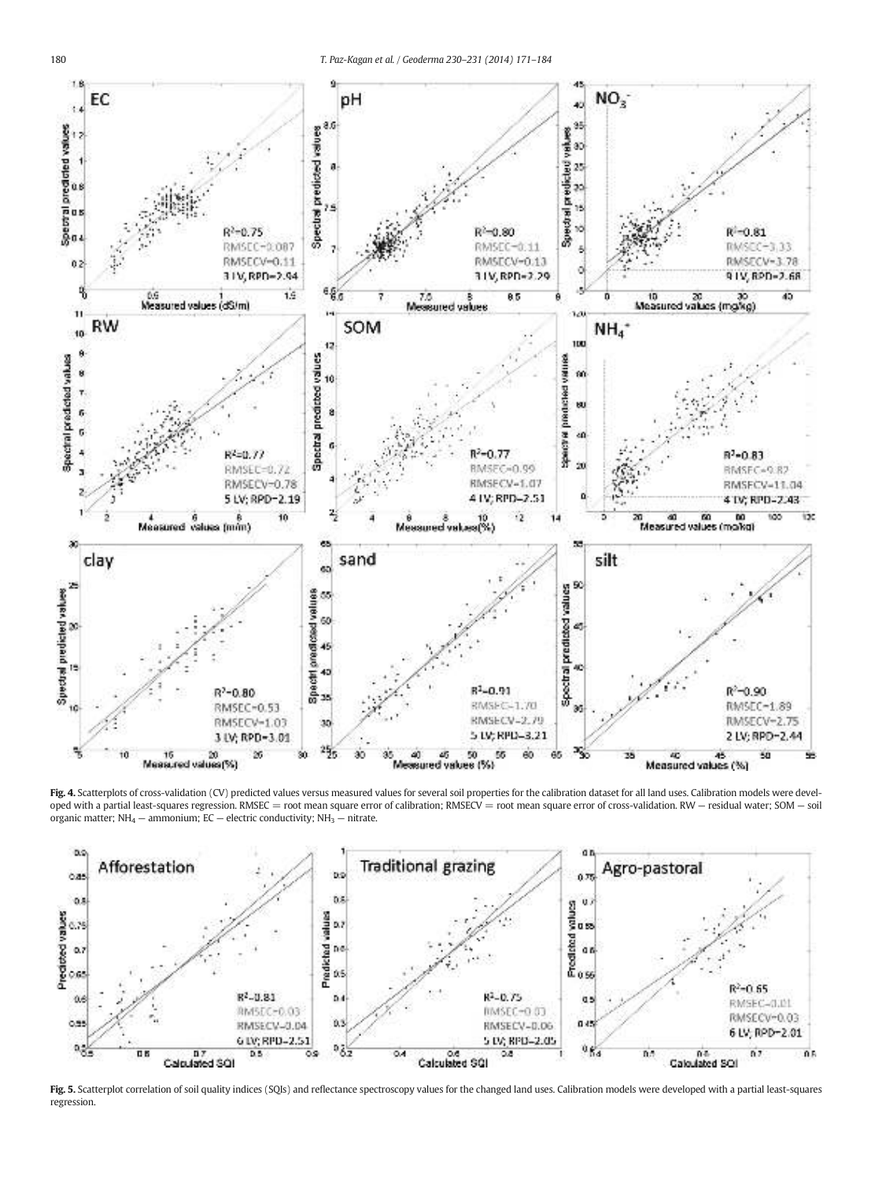

Fig. 4. Scatterplots of cross-validation (CV) predicted values versus measured values for several soil properties for the calibration dataset for all land uses. Calibration models were developed with a partial least-squares regression. RMSEC = root mean square error of calibration; RMSECV = root mean square error of cross-validation. RW — residual water; SOM — soil organic matter;  $NH_4$  — ammonium; EC — electric conductivity;  $NH_3$  — nitrate.



Fig. 5. Scatterplot correlation of soil quality indices (SQIs) and reflectance spectroscopy values for the changed land uses. Calibration models were developed with a partial least-squares regression.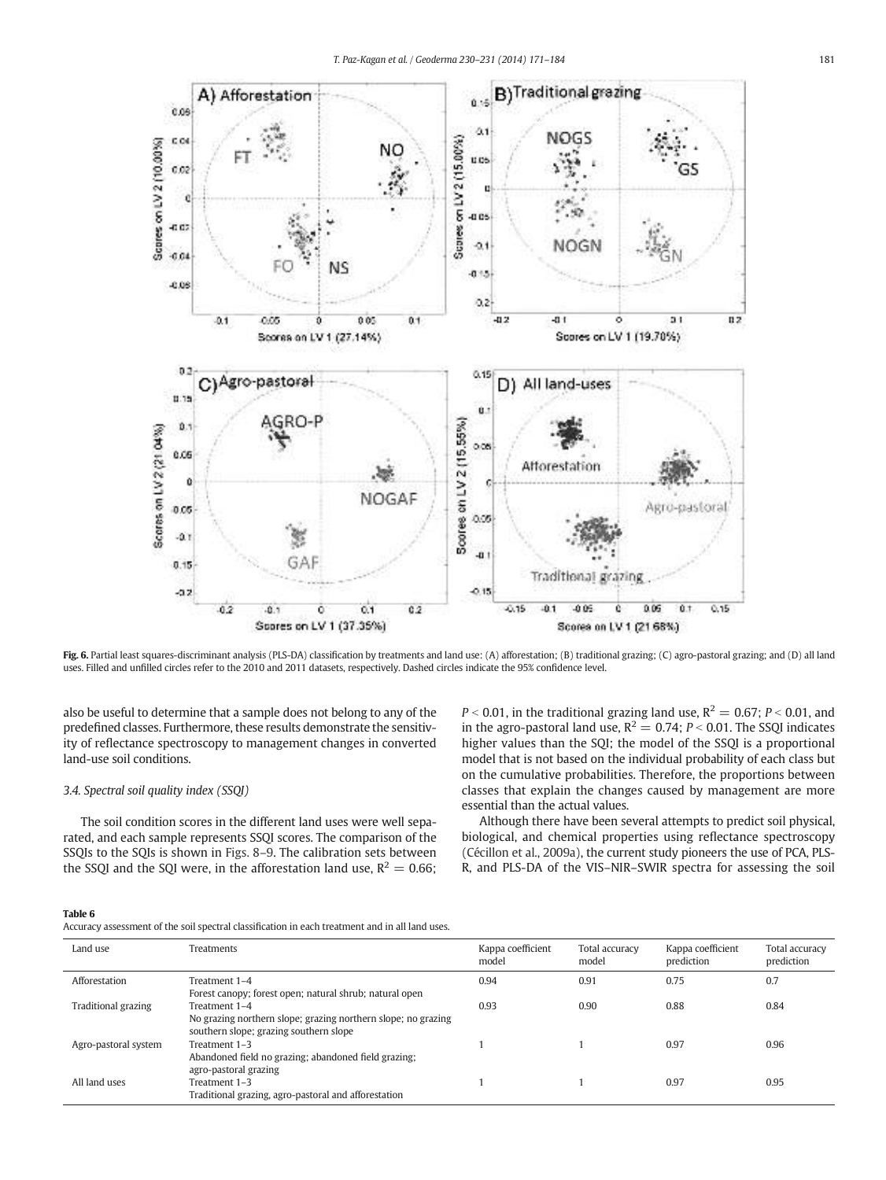

Fig. 6. Partial least squares-discriminant analysis (PLS-DA) classification by treatments and land use: (A) afforestation; (B) traditional grazing; (C) agro-pastoral grazing; and (D) all land uses. Filled and unfilled circles refer to the 2010 and 2011 datasets, respectively. Dashed circles indicate the 95% confidence level.

also be useful to determine that a sample does not belong to any of the predefined classes. Furthermore, these results demonstrate the sensitivity of reflectance spectroscopy to management changes in converted land-use soil conditions.

# *3.4. Spectral soil quality index (SSQI)*

The soil condition scores in the different land uses were well separated, and each sample represents SSQI scores. The comparison of the SSQIs to the SQIs is shown in Figs. 8–9. The calibration sets between the SSQI and the SQI were, in the afforestation land use,  $R^2 = 0.66$ ;  $P < 0.01$ , in the traditional grazing land use,  $R<sup>2</sup> = 0.67$ ;  $P < 0.01$ , and in the agro-pastoral land use,  $R^2 = 0.74$ ;  $P < 0.01$ . The SSQI indicates higher values than the SQI; the model of the SSQI is a proportional model that is not based on the individual probability of each class but on the cumulative probabilities. Therefore, the proportions between classes that explain the changes caused by management are more essential than the actual values.

Although there have been several attempts to predict soil physical, biological, and chemical properties using reflectance spectroscopy (Cécillon et al., 2009a), the current study pioneers the use of PCA, PLS-R, and PLS-DA of the VIS–NIR–SWIR spectra for assessing the soil

#### Table 6

Accuracy assessment of the soil spectral classification in each treatment and in all land uses.

| Land use             | Treatments                                                    | Kappa coefficient<br>model | Total accuracy<br>model | Kappa coefficient<br>prediction | Total accuracy<br>prediction |
|----------------------|---------------------------------------------------------------|----------------------------|-------------------------|---------------------------------|------------------------------|
| Afforestation        | Treatment 1-4                                                 | 0.94                       | 0.91                    | 0.75                            | 0.7                          |
|                      | Forest canopy; forest open; natural shrub; natural open       |                            |                         |                                 |                              |
| Traditional grazing  | Treatment 1-4                                                 | 0.93                       | 0.90                    | 0.88                            | 0.84                         |
|                      | No grazing northern slope; grazing northern slope; no grazing |                            |                         |                                 |                              |
|                      | southern slope; grazing southern slope                        |                            |                         |                                 |                              |
| Agro-pastoral system | Treatment 1-3                                                 |                            |                         | 0.97                            | 0.96                         |
|                      | Abandoned field no grazing; abandoned field grazing;          |                            |                         |                                 |                              |
|                      | agro-pastoral grazing                                         |                            |                         |                                 |                              |
| All land uses        | Treatment 1-3                                                 |                            |                         | 0.97                            | 0.95                         |
|                      | Traditional grazing, agro-pastoral and afforestation          |                            |                         |                                 |                              |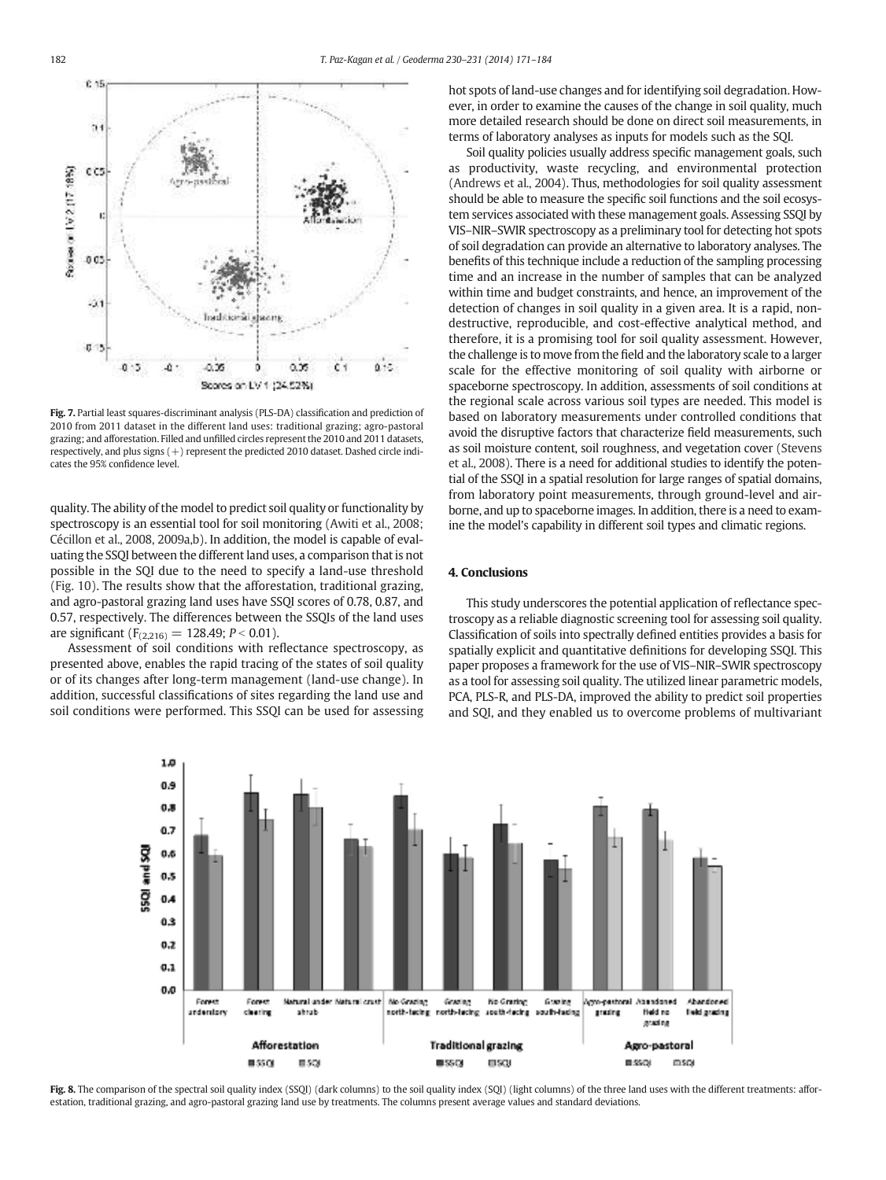

Fig. 7. Partial least squares-discriminant analysis (PLS-DA) classification and prediction of 2010 from 2011 dataset in the different land uses: traditional grazing; agro-pastoral grazing; and afforestation. Filled and unfilled circles represent the 2010 and 2011 datasets, respectively, and plus signs (+) represent the predicted 2010 dataset. Dashed circle indicates the 95% confidence level.

quality. The ability of the model to predict soil quality or functionality by spectroscopy is an essential tool for soil monitoring (Awiti et al., 2008; Cécillon et al., 2008, 2009a,b). In addition, the model is capable of evaluating the SSQI between the different land uses, a comparison that is not possible in the SQI due to the need to specify a land-use threshold (Fig. 10). The results show that the afforestation, traditional grazing, and agro-pastoral grazing land uses have SSQI scores of 0.78, 0.87, and 0.57, respectively. The differences between the SSQIs of the land uses are significant ( $F_{(2,216)} = 128.49; P < 0.01$ ).

Assessment of soil conditions with reflectance spectroscopy, as presented above, enables the rapid tracing of the states of soil quality or of its changes after long-term management (land-use change). In addition, successful classifications of sites regarding the land use and soil conditions were performed. This SSQI can be used for assessing hot spots of land-use changes and for identifying soil degradation. However, in order to examine the causes of the change in soil quality, much more detailed research should be done on direct soil measurements, in terms of laboratory analyses as inputs for models such as the SQI.

Soil quality policies usually address specific management goals, such as productivity, waste recycling, and environmental protection (Andrews et al., 2004). Thus, methodologies for soil quality assessment should be able to measure the specific soil functions and the soil ecosystem services associated with these management goals. Assessing SSQI by VIS–NIR–SWIR spectroscopy as a preliminary tool for detecting hot spots of soil degradation can provide an alternative to laboratory analyses. The benefits of this technique include a reduction of the sampling processing time and an increase in the number of samples that can be analyzed within time and budget constraints, and hence, an improvement of the detection of changes in soil quality in a given area. It is a rapid, nondestructive, reproducible, and cost-effective analytical method, and therefore, it is a promising tool for soil quality assessment. However, the challenge is to move from the field and the laboratory scale to a larger scale for the effective monitoring of soil quality with airborne or spaceborne spectroscopy. In addition, assessments of soil conditions at the regional scale across various soil types are needed. This model is based on laboratory measurements under controlled conditions that avoid the disruptive factors that characterize field measurements, such as soil moisture content, soil roughness, and vegetation cover (Stevens et al., 2008). There is a need for additional studies to identify the potential of the SSQI in a spatial resolution for large ranges of spatial domains, from laboratory point measurements, through ground-level and airborne, and up to spaceborne images. In addition, there is a need to examine the model's capability in different soil types and climatic regions.

# 4. Conclusions

This study underscores the potential application of reflectance spectroscopy as a reliable diagnostic screening tool for assessing soil quality. Classification of soils into spectrally defined entities provides a basis for spatially explicit and quantitative definitions for developing SSQI. This paper proposes a framework for the use of VIS–NIR–SWIR spectroscopy as a tool for assessing soil quality. The utilized linear parametric models, PCA, PLS-R, and PLS-DA, improved the ability to predict soil properties and SQI, and they enabled us to overcome problems of multivariant



Fig. 8. The comparison of the spectral soil quality index (SSQI) (dark columns) to the soil quality index (SQI) (light columns) of the three land uses with the different treatments: afforestation, traditional grazing, and agro-pastoral grazing land use by treatments. The columns present average values and standard deviations.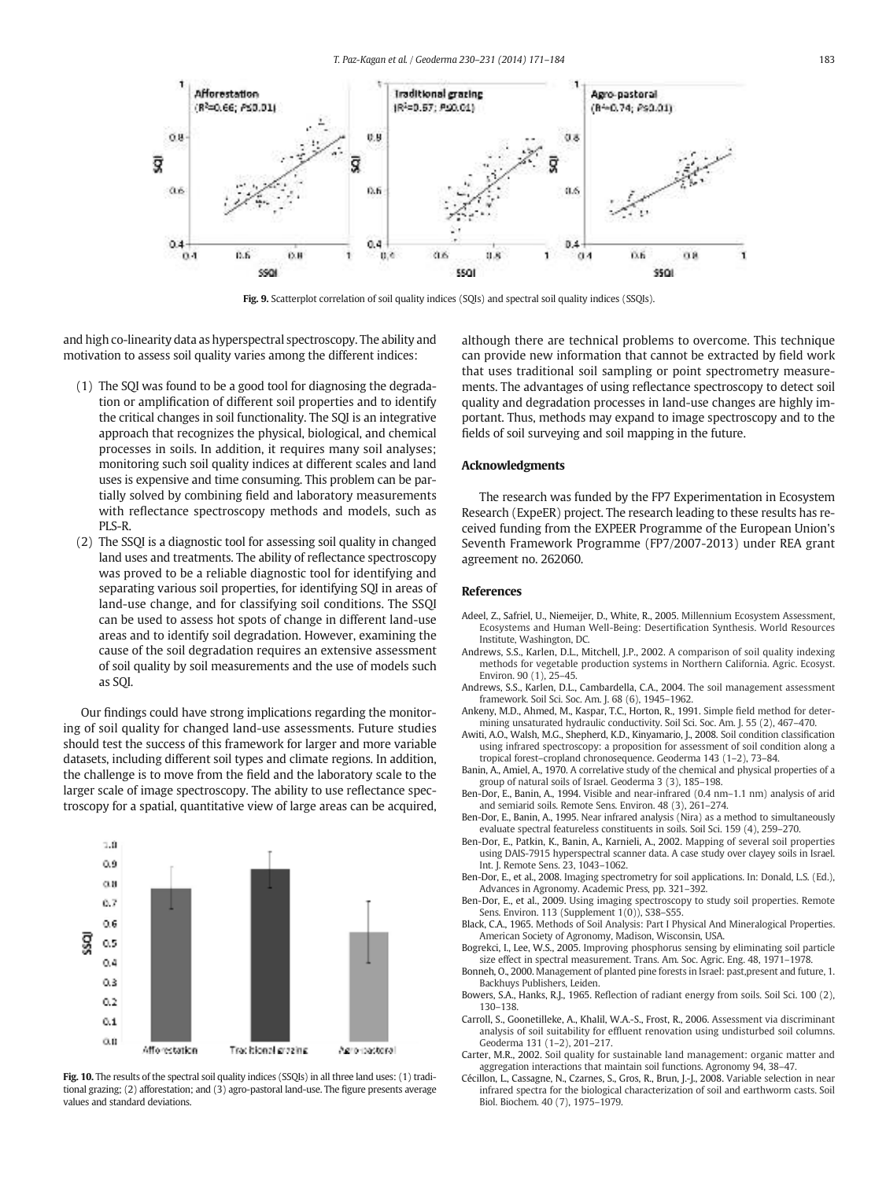

Fig. 9. Scatterplot correlation of soil quality indices (SQIs) and spectral soil quality indices (SSQIs).

and high co-linearity data as hyperspectral spectroscopy. The ability and motivation to assess soil quality varies among the different indices:

- (1) The SQI was found to be a good tool for diagnosing the degradation or amplification of different soil properties and to identify the critical changes in soil functionality. The SQI is an integrative approach that recognizes the physical, biological, and chemical processes in soils. In addition, it requires many soil analyses; monitoring such soil quality indices at different scales and land uses is expensive and time consuming. This problem can be partially solved by combining field and laboratory measurements with reflectance spectroscopy methods and models, such as PLS-R.
- (2) The SSQI is a diagnostic tool for assessing soil quality in changed land uses and treatments. The ability of reflectance spectroscopy was proved to be a reliable diagnostic tool for identifying and separating various soil properties, for identifying SQI in areas of land-use change, and for classifying soil conditions. The SSQI can be used to assess hot spots of change in different land-use areas and to identify soil degradation. However, examining the cause of the soil degradation requires an extensive assessment of soil quality by soil measurements and the use of models such as SQI.

Our findings could have strong implications regarding the monitoring of soil quality for changed land-use assessments. Future studies should test the success of this framework for larger and more variable datasets, including different soil types and climate regions. In addition, the challenge is to move from the field and the laboratory scale to the larger scale of image spectroscopy. The ability to use reflectance spectroscopy for a spatial, quantitative view of large areas can be acquired,





although there are technical problems to overcome. This technique can provide new information that cannot be extracted by field work that uses traditional soil sampling or point spectrometry measurements. The advantages of using reflectance spectroscopy to detect soil quality and degradation processes in land-use changes are highly important. Thus, methods may expand to image spectroscopy and to the fields of soil surveying and soil mapping in the future.

# Acknowledgments

The research was funded by the FP7 Experimentation in Ecosystem Research (ExpeER) project. The research leading to these results has received funding from the EXPEER Programme of the European Union's Seventh Framework Programme (FP7/2007-2013) under REA grant agreement no. 262060.

# References

- Adeel, Z., Safriel, U., Niemeijer, D., White, R., 2005. Millennium Ecosystem Assessment, Ecosystems and Human Well-Being: Desertification Synthesis. World Resources Institute, Washington, DC.
- Andrews, S.S., Karlen, D.L., Mitchell, J.P., 2002. A comparison of soil quality indexing methods for vegetable production systems in Northern California. Agric. Ecosyst. Environ. 90 (1), 25–45.
- Andrews, S.S., Karlen, D.L., Cambardella, C.A., 2004. The soil management assessment framework. Soil Sci. Soc. Am. J. 68 (6), 1945–1962.
- Ankeny, M.D., Ahmed, M., Kaspar, T.C., Horton, R., 1991. Simple field method for determining unsaturated hydraulic conductivity. Soil Sci. Soc. Am. J. 55 (2), 467–470.
- Awiti, A.O., Walsh, M.G., Shepherd, K.D., Kinyamario, J., 2008. Soil condition classification using infrared spectroscopy: a proposition for assessment of soil condition along a tropical forest–cropland chronosequence. Geoderma 143 (1–2), 73–84.
- Banin, A., Amiel, A., 1970. A correlative study of the chemical and physical properties of a group of natural soils of Israel. Geoderma 3 (3), 185–198.
- Ben-Dor, E., Banin, A., 1994. Visible and near-infrared (0.4 nm–1.1 nm) analysis of arid and semiarid soils. Remote Sens. Environ. 48 (3), 261–274.
- Ben-Dor, E., Banin, A., 1995. Near infrared analysis (Nira) as a method to simultaneously evaluate spectral featureless constituents in soils. Soil Sci. 159 (4), 259–270.
- Ben-Dor, E., Patkin, K., Banin, A., Karnieli, A., 2002. Mapping of several soil properties using DAIS-7915 hyperspectral scanner data. A case study over clayey soils in Israel. Int. J. Remote Sens. 23, 1043–1062.
- Ben-Dor, E., et al., 2008. Imaging spectrometry for soil applications. In: Donald, L.S. (Ed.), Advances in Agronomy. Academic Press, pp. 321–392.
- Ben-Dor, E., et al., 2009. Using imaging spectroscopy to study soil properties. Remote Sens. Environ. 113 (Supplement 1(0)), S38–S55.
- Black, C.A., 1965. Methods of Soil Analysis: Part I Physical And Mineralogical Properties. American Society of Agronomy, Madison, Wisconsin, USA.
- Bogrekci, I., Lee, W.S., 2005. Improving phosphorus sensing by eliminating soil particle size effect in spectral measurement. Trans. Am. Soc. Agric. Eng. 48, 1971–1978.
- Bonneh, O., 2000. Management of planted pine forests in Israel: past,present and future, 1. Backhuys Publishers, Leiden.
- Bowers, S.A., Hanks, R.J., 1965. Reflection of radiant energy from soils. Soil Sci. 100 (2), 130–138.
- Carroll, S., Goonetilleke, A., Khalil, W.A.-S., Frost, R., 2006. Assessment via discriminant analysis of soil suitability for effluent renovation using undisturbed soil columns. Geoderma 131 (1–2), 201–217.
- Carter, M.R., 2002. Soil quality for sustainable land management: organic matter and aggregation interactions that maintain soil functions. Agronomy 94, 38–47.
- Cécillon, L., Cassagne, N., Czarnes, S., Gros, R., Brun, J.-J., 2008. Variable selection in near infrared spectra for the biological characterization of soil and earthworm casts. Soil Biol. Biochem. 40 (7), 1975–1979.